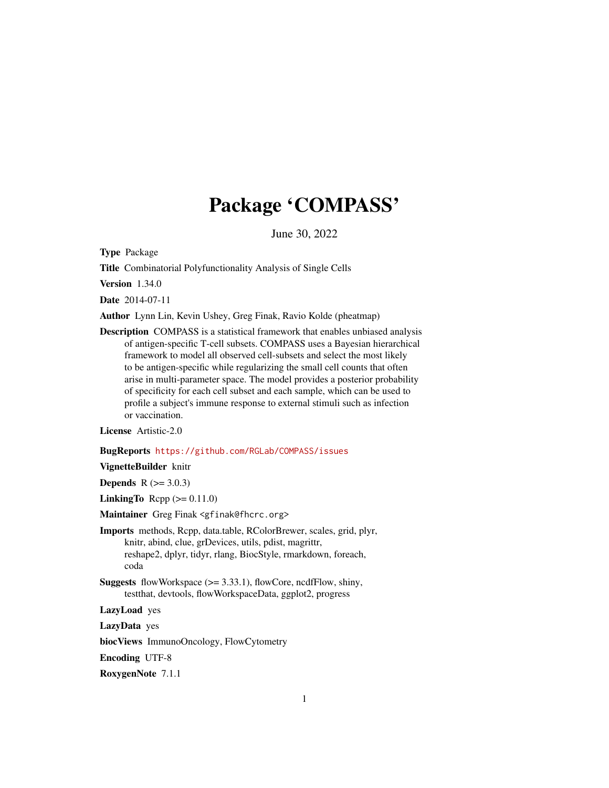## Package 'COMPASS'

June 30, 2022

<span id="page-0-0"></span>Type Package

Title Combinatorial Polyfunctionality Analysis of Single Cells

Version 1.34.0

Date 2014-07-11

Author Lynn Lin, Kevin Ushey, Greg Finak, Ravio Kolde (pheatmap)

Description COMPASS is a statistical framework that enables unbiased analysis of antigen-specific T-cell subsets. COMPASS uses a Bayesian hierarchical framework to model all observed cell-subsets and select the most likely to be antigen-specific while regularizing the small cell counts that often arise in multi-parameter space. The model provides a posterior probability of specificity for each cell subset and each sample, which can be used to profile a subject's immune response to external stimuli such as infection or vaccination.

License Artistic-2.0

#### BugReports <https://github.com/RGLab/COMPASS/issues>

VignetteBuilder knitr

**Depends**  $R (= 3.0.3)$ 

**LinkingTo** Rcpp  $(>= 0.11.0)$ 

Maintainer Greg Finak <gfinak@fhcrc.org>

Imports methods, Rcpp, data.table, RColorBrewer, scales, grid, plyr, knitr, abind, clue, grDevices, utils, pdist, magrittr, reshape2, dplyr, tidyr, rlang, BiocStyle, rmarkdown, foreach, coda

**Suggests** flowWorkspace  $(>= 3.33.1)$ , flowCore, ncdfFlow, shiny, testthat, devtools, flowWorkspaceData, ggplot2, progress

LazyLoad yes

LazyData yes

biocViews ImmunoOncology, FlowCytometry

Encoding UTF-8

RoxygenNote 7.1.1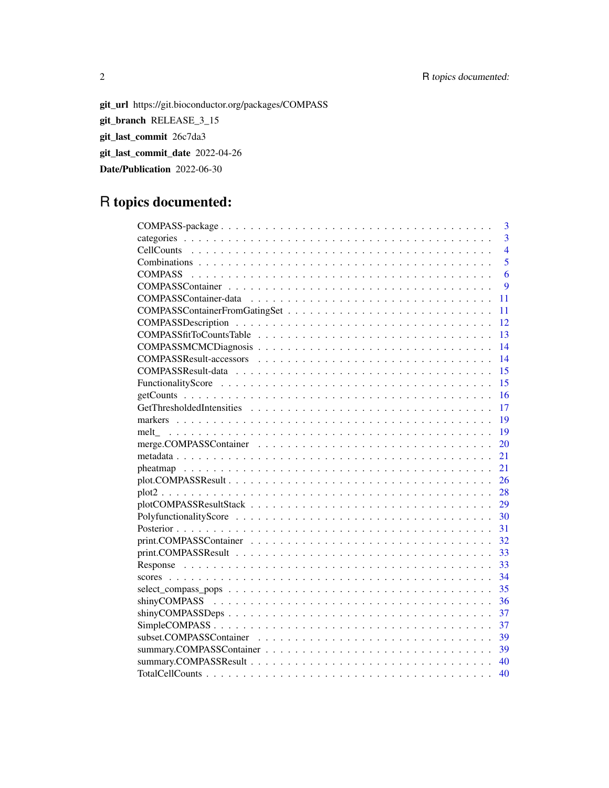## 2 R topics documented:

git\_url https://git.bioconductor.org/packages/COMPASS git\_branch RELEASE\_3\_15 git\_last\_commit 26c7da3 git\_last\_commit\_date 2022-04-26 Date/Publication 2022-06-30

## R topics documented:

| 3                                                                                                                  |
|--------------------------------------------------------------------------------------------------------------------|
| $\overline{3}$                                                                                                     |
| $\overline{4}$                                                                                                     |
| 5                                                                                                                  |
| 6                                                                                                                  |
| 9                                                                                                                  |
| 11                                                                                                                 |
| 11                                                                                                                 |
| 12                                                                                                                 |
| 13                                                                                                                 |
| 14                                                                                                                 |
| 14                                                                                                                 |
| 15                                                                                                                 |
| 15                                                                                                                 |
| 16                                                                                                                 |
| 17                                                                                                                 |
| 19                                                                                                                 |
| 19                                                                                                                 |
| 20                                                                                                                 |
| 21                                                                                                                 |
| 21                                                                                                                 |
| 26                                                                                                                 |
| 28                                                                                                                 |
| 29                                                                                                                 |
| PolyfunctionalityScore $\ldots \ldots \ldots \ldots \ldots \ldots \ldots \ldots \ldots \ldots \ldots \ldots$<br>30 |
| 31                                                                                                                 |
| 32                                                                                                                 |
| 33                                                                                                                 |
| 33                                                                                                                 |
| 34                                                                                                                 |
| 35                                                                                                                 |
| 36                                                                                                                 |
| 37                                                                                                                 |
| 37                                                                                                                 |
| 39                                                                                                                 |
| 39                                                                                                                 |
| 40                                                                                                                 |
| 40                                                                                                                 |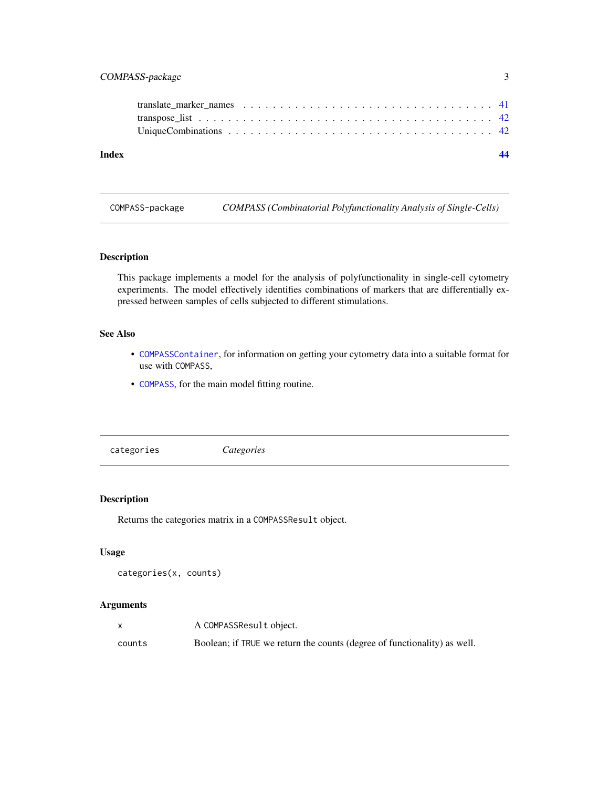## <span id="page-2-0"></span>COMPASS-package 3

| Index |  |
|-------|--|
|       |  |
|       |  |
|       |  |

COMPASS-package *COMPASS (Combinatorial Polyfunctionality Analysis of Single-Cells)*

## Description

This package implements a model for the analysis of polyfunctionality in single-cell cytometry experiments. The model effectively identifies combinations of markers that are differentially expressed between samples of cells subjected to different stimulations.

## See Also

- [COMPASSContainer](#page-8-1), for information on getting your cytometry data into a suitable format for use with COMPASS,
- [COMPASS](#page-5-1), for the main model fitting routine.

categories *Categories*

#### Description

Returns the categories matrix in a COMPASSResult object.

## Usage

```
categories(x, counts)
```
## Arguments

|        | A COMPASSResult object.                                                  |
|--------|--------------------------------------------------------------------------|
| counts | Boolean; if TRUE we return the counts (degree of functionality) as well. |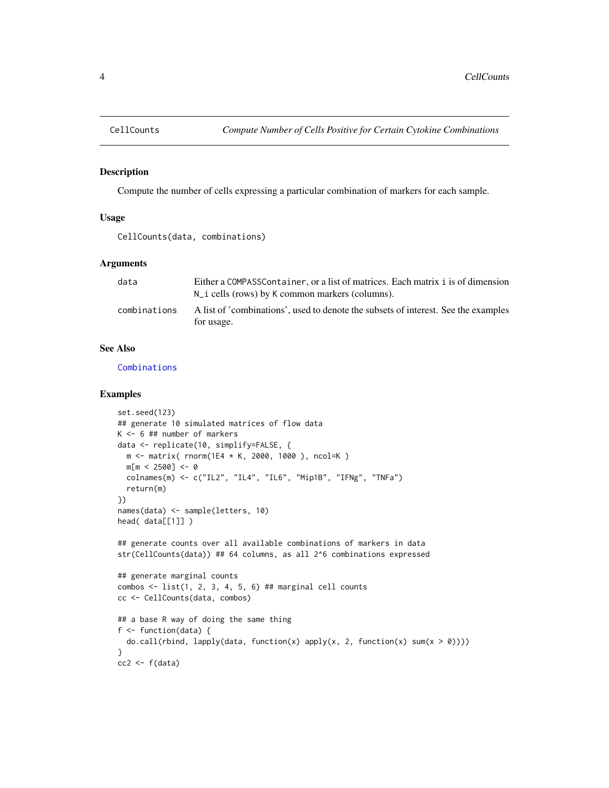<span id="page-3-1"></span><span id="page-3-0"></span>

#### Description

Compute the number of cells expressing a particular combination of markers for each sample.

#### Usage

```
CellCounts(data, combinations)
```
## Arguments

| data         | Either a COMPASSContainer, or a list of matrices. Each matrix i is of dimension                  |
|--------------|--------------------------------------------------------------------------------------------------|
|              | $N_i$ cells (rows) by K common markers (columns).                                                |
| combinations | A list of 'combinations', used to denote the subsets of interest. See the examples<br>for usage. |

#### See Also

[Combinations](#page-4-1)

## Examples

```
set.seed(123)
## generate 10 simulated matrices of flow data
K <- 6 ## number of markers
data <- replicate(10, simplify=FALSE, {
  m <- matrix( rnorm(1E4 * K, 2000, 1000 ), ncol=K )
  m[m < 2500] < -0colnames(m) <- c("IL2", "IL4", "IL6", "Mip1B", "IFNg", "TNFa")
  return(m)
})
names(data) <- sample(letters, 10)
head( data[[1]] )
## generate counts over all available combinations of markers in data
str(CellCounts(data)) ## 64 columns, as all 2^6 combinations expressed
## generate marginal counts
combos \le list(1, 2, 3, 4, 5, 6) ## marginal cell counts
cc <- CellCounts(data, combos)
## a base R way of doing the same thing
f <- function(data) {
  do.call(rbind, lapply(data, function(x) apply(x, 2, function(x) sum(x > 0))))
}
cc2 \leftarrow f(data)
```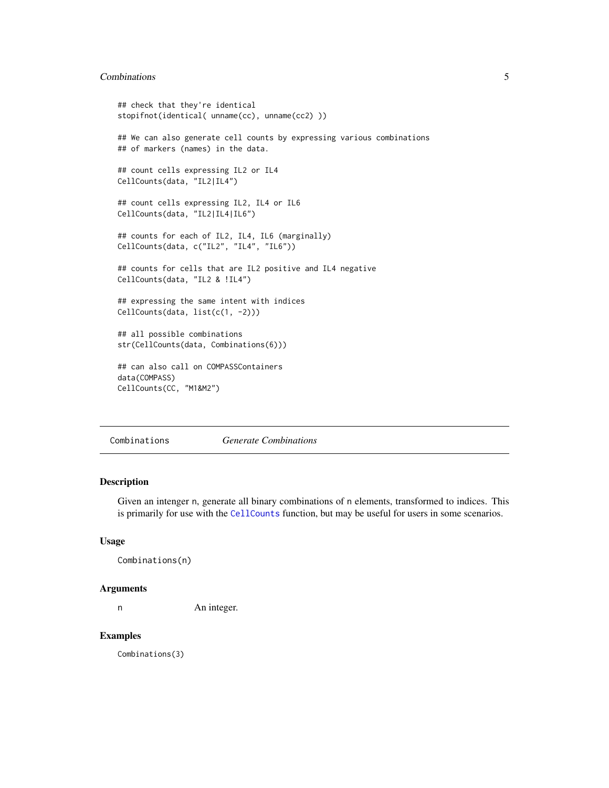## <span id="page-4-0"></span>Combinations 5

```
## check that they're identical
stopifnot(identical( unname(cc), unname(cc2) ))
## We can also generate cell counts by expressing various combinations
## of markers (names) in the data.
## count cells expressing IL2 or IL4
CellCounts(data, "IL2|IL4")
## count cells expressing IL2, IL4 or IL6
CellCounts(data, "IL2|IL4|IL6")
## counts for each of IL2, IL4, IL6 (marginally)
CellCounts(data, c("IL2", "IL4", "IL6"))
## counts for cells that are IL2 positive and IL4 negative
CellCounts(data, "IL2 & !IL4")
## expressing the same intent with indices
CellCounts(data, list(c(1, -2)))
## all possible combinations
str(CellCounts(data, Combinations(6)))
## can also call on COMPASSContainers
data(COMPASS)
CellCounts(CC, "M1&M2")
```
<span id="page-4-1"></span>Combinations *Generate Combinations*

## Description

Given an intenger n, generate all binary combinations of n elements, transformed to indices. This is primarily for use with the [CellCounts](#page-3-1) function, but may be useful for users in some scenarios.

#### Usage

Combinations(n)

#### Arguments

n An integer.

#### Examples

Combinations(3)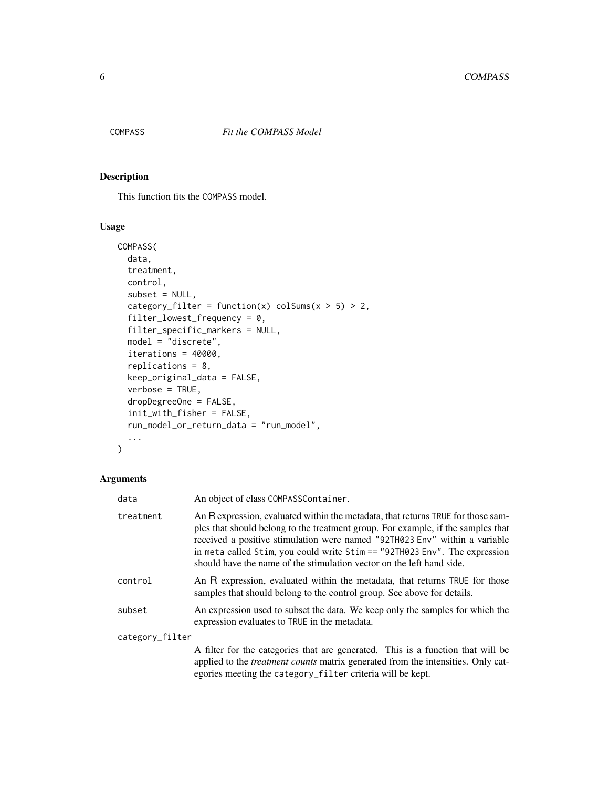<span id="page-5-1"></span><span id="page-5-0"></span>

### Description

This function fits the COMPASS model.

## Usage

```
COMPASS(
  data,
  treatment,
  control,
  subset = NULL,
  category_filter = function(x) colSums(x > 5) > 2,
  filter_lowest_frequency = 0,
  filter_specific_markers = NULL,
 model = "discrete",
  iterations = 40000,
  replications = 8,
  keep_original_data = FALSE,
  verbose = TRUE,
  dropDegreeOne = FALSE,
  init_with_fisher = FALSE,
  run_model_or_return_data = "run_model",
  ...
\mathcal{L}
```
## Arguments

| data            | An object of class COMPASSContainer.                                                                                                                                                                                                                                                                                                                                                                       |
|-----------------|------------------------------------------------------------------------------------------------------------------------------------------------------------------------------------------------------------------------------------------------------------------------------------------------------------------------------------------------------------------------------------------------------------|
| treatment       | An R expression, evaluated within the metadata, that returns TRUE for those sam-<br>ples that should belong to the treatment group. For example, if the samples that<br>received a positive stimulation were named "92TH023 Env" within a variable<br>in meta called Stim, you could write $Stim = 292TH023$ Env". The expression<br>should have the name of the stimulation vector on the left hand side. |
| control         | An R expression, evaluated within the metadata, that returns TRUE for those<br>samples that should belong to the control group. See above for details.                                                                                                                                                                                                                                                     |
| subset          | An expression used to subset the data. We keep only the samples for which the<br>expression evaluates to TRUE in the metadata.                                                                                                                                                                                                                                                                             |
| category_filter |                                                                                                                                                                                                                                                                                                                                                                                                            |
|                 | A filter for the categories that are generated. This is a function that will be<br>applied to the <i>treatment counts</i> matrix generated from the intensities. Only cat-<br>egories meeting the category_filter criteria will be kept.                                                                                                                                                                   |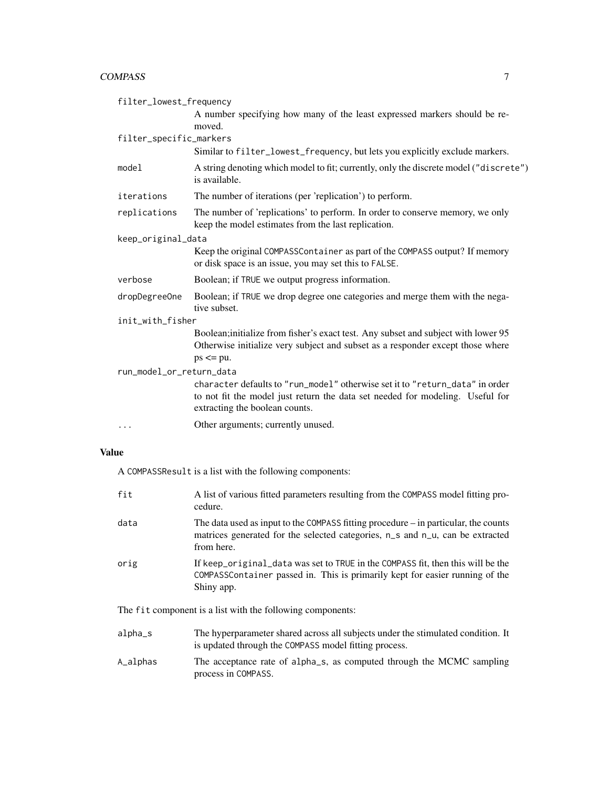#### COMPASS 7

| filter_lowest_frequency  |                                                                                                                                                                                                 |  |
|--------------------------|-------------------------------------------------------------------------------------------------------------------------------------------------------------------------------------------------|--|
|                          | A number specifying how many of the least expressed markers should be re-<br>moved.                                                                                                             |  |
| filter_specific_markers  |                                                                                                                                                                                                 |  |
|                          | Similar to filter_lowest_frequency, but lets you explicitly exclude markers.                                                                                                                    |  |
| model                    | A string denoting which model to fit; currently, only the discrete model ("discrete")<br>is available.                                                                                          |  |
| iterations               | The number of iterations (per 'replication') to perform.                                                                                                                                        |  |
| replications             | The number of 'replications' to perform. In order to conserve memory, we only<br>keep the model estimates from the last replication.                                                            |  |
| keep_original_data       |                                                                                                                                                                                                 |  |
|                          | Keep the original COMPASSContainer as part of the COMPASS output? If memory<br>or disk space is an issue, you may set this to FALSE.                                                            |  |
| verbose                  | Boolean; if TRUE we output progress information.                                                                                                                                                |  |
| dropDegreeOne            | Boolean; if TRUE we drop degree one categories and merge them with the nega-<br>tive subset.                                                                                                    |  |
| init_with_fisher         |                                                                                                                                                                                                 |  |
|                          | Boolean; initialize from fisher's exact test. Any subset and subject with lower 95<br>Otherwise initialize very subject and subset as a responder except those where<br>$ps \leq p$ u.          |  |
| run_model_or_return_data |                                                                                                                                                                                                 |  |
|                          | character defaults to "run model" otherwise set it to "return data" in order<br>to not fit the model just return the data set needed for modeling. Useful for<br>extracting the boolean counts. |  |
| $\cdots$                 | Other arguments; currently unused.                                                                                                                                                              |  |
|                          |                                                                                                                                                                                                 |  |

## Value

A COMPASSResult is a list with the following components:

| fit     | A list of various fitted parameters resulting from the COMPASS model fitting pro-<br>cedure.                                                                                         |
|---------|--------------------------------------------------------------------------------------------------------------------------------------------------------------------------------------|
| data    | The data used as input to the COMPASS fitting procedure $-$ in particular, the counts<br>matrices generated for the selected categories, n_s and n_u, can be extracted<br>from here. |
| orig    | If keep original data was set to TRUE in the COMPASS fit, then this will be the<br>COMPASSContainer passed in. This is primarily kept for easier running of the<br>Shiny app.        |
|         | The fit component is a list with the following components:                                                                                                                           |
| alpha_s | The hyperparameter shared across all subjects under the stimulated condition. It<br>is updated through the COMPASS model fitting process.                                            |

A\_alphas The acceptance rate of alpha\_s, as computed through the MCMC sampling process in COMPASS.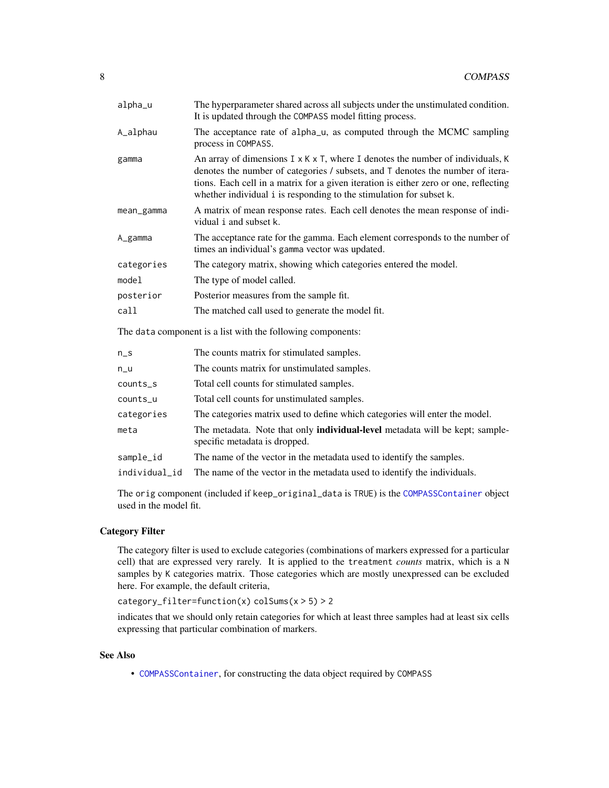<span id="page-7-0"></span>

| alpha_u                                                                                                        | The hyperparameter shared across all subjects under the unstimulated condition.<br>It is updated through the COMPASS model fitting process.                                                                                                                                                                                                  |
|----------------------------------------------------------------------------------------------------------------|----------------------------------------------------------------------------------------------------------------------------------------------------------------------------------------------------------------------------------------------------------------------------------------------------------------------------------------------|
| A_alphau                                                                                                       | The acceptance rate of alpha <sub>ru</sub> , as computed through the MCMC sampling<br>process in COMPASS.                                                                                                                                                                                                                                    |
| gamma                                                                                                          | An array of dimensions $I \times K \times T$ , where I denotes the number of individuals, K<br>denotes the number of categories / subsets, and T denotes the number of itera-<br>tions. Each cell in a matrix for a given iteration is either zero or one, reflecting<br>whether individual i is responding to the stimulation for subset k. |
| mean_gamma                                                                                                     | A matrix of mean response rates. Each cell denotes the mean response of indi-<br>vidual i and subset k.                                                                                                                                                                                                                                      |
| A_gamma                                                                                                        | The acceptance rate for the gamma. Each element corresponds to the number of<br>times an individual's gamma vector was updated.                                                                                                                                                                                                              |
| categories                                                                                                     | The category matrix, showing which categories entered the model.                                                                                                                                                                                                                                                                             |
| model                                                                                                          | The type of model called.                                                                                                                                                                                                                                                                                                                    |
| posterior                                                                                                      | Posterior measures from the sample fit.                                                                                                                                                                                                                                                                                                      |
| call                                                                                                           | The matched call used to generate the model fit.                                                                                                                                                                                                                                                                                             |
| 500 de agosto de la concerta de la contra de la contrada de la contrada de la concerta de la concerta de la co |                                                                                                                                                                                                                                                                                                                                              |

The data component is a list with the following components:

| $n_S$         | The counts matrix for stimulated samples.                                                                            |
|---------------|----------------------------------------------------------------------------------------------------------------------|
| n_u           | The counts matrix for unstimulated samples.                                                                          |
| counts_s      | Total cell counts for stimulated samples.                                                                            |
| counts_u      | Total cell counts for unstimulated samples.                                                                          |
| categories    | The categories matrix used to define which categories will enter the model.                                          |
| meta          | The metadata. Note that only <b>individual-level</b> metadata will be kept; sample-<br>specific metadata is dropped. |
| sample_id     | The name of the vector in the metadata used to identify the samples.                                                 |
| individual_id | The name of the vector in the metadata used to identify the individuals.                                             |
|               |                                                                                                                      |

The orig component (included if keep\_original\_data is TRUE) is the [COMPASSContainer](#page-8-1) object used in the model fit.

## Category Filter

The category filter is used to exclude categories (combinations of markers expressed for a particular cell) that are expressed very rarely. It is applied to the treatment *counts* matrix, which is a N samples by K categories matrix. Those categories which are mostly unexpressed can be excluded here. For example, the default criteria,

category\_filter=function(x) colSums(x > 5) > 2

indicates that we should only retain categories for which at least three samples had at least six cells expressing that particular combination of markers.

## See Also

• [COMPASSContainer](#page-8-1), for constructing the data object required by COMPASS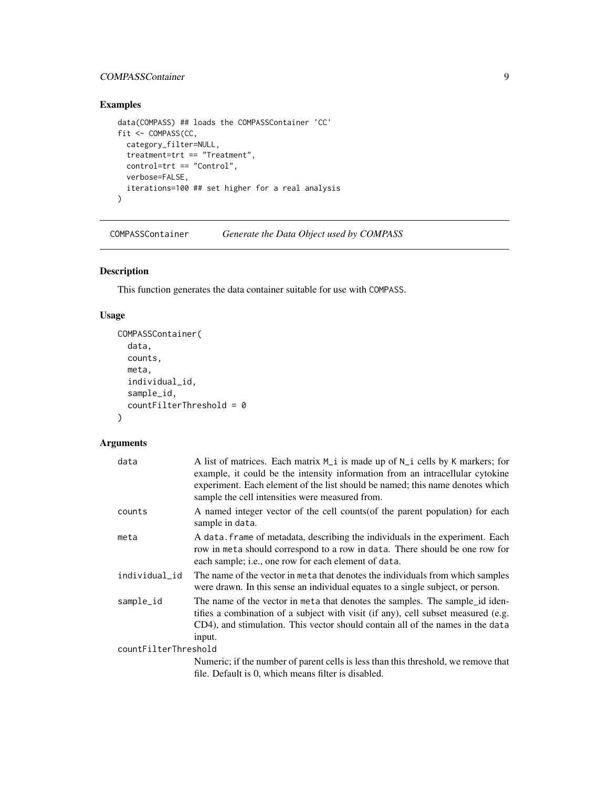## <span id="page-8-0"></span>COMPASSContainer 9

## Examples

```
data(COMPASS) ## loads the COMPASSContainer 'CC'
fit <- COMPASS(CC,
  category_filter=NULL,
  treatment=trt == "Treatment",
  control=trt == "Control",
  verbose=FALSE,
  iterations=100 ## set higher for a real analysis
\overline{\phantom{a}}
```
<span id="page-8-1"></span>COMPASSContainer *Generate the Data Object used by COMPASS*

## Description

This function generates the data container suitable for use with COMPASS.

#### Usage

```
COMPASSContainer(
  data,
 counts,
 meta,
  individual_id,
  sample_id,
  countFilterThreshold = 0
\lambda
```
## Arguments

| data                 | A list of matrices. Each matrix M <sub>_i</sub> is made up of N_i cells by K markers; for<br>example, it could be the intensity information from an intracellular cytokine<br>experiment. Each element of the list should be named; this name denotes which<br>sample the cell intensities were measured from. |  |
|----------------------|----------------------------------------------------------------------------------------------------------------------------------------------------------------------------------------------------------------------------------------------------------------------------------------------------------------|--|
| counts               | A named integer vector of the cell counts (of the parent population) for each<br>sample in data.                                                                                                                                                                                                               |  |
| meta                 | A data. frame of metadata, describing the individuals in the experiment. Each<br>row in meta should correspond to a row in data. There should be one row for<br>each sample; i.e., one row for each element of data.                                                                                           |  |
| individual_id        | The name of the vector in meta that denotes the individuals from which samples<br>were drawn. In this sense an individual equates to a single subject, or person.                                                                                                                                              |  |
| sample_id            | The name of the vector in meta that denotes the samples. The sample id iden-<br>tifies a combination of a subject with visit (if any), cell subset measured (e.g.<br>CD4), and stimulation. This vector should contain all of the names in the data<br>input.                                                  |  |
| countFilterThreshold |                                                                                                                                                                                                                                                                                                                |  |
|                      | Numeric; if the number of parent cells is less than this threshold, we remove that                                                                                                                                                                                                                             |  |
|                      | file. Default is 0, which means filter is disabled.                                                                                                                                                                                                                                                            |  |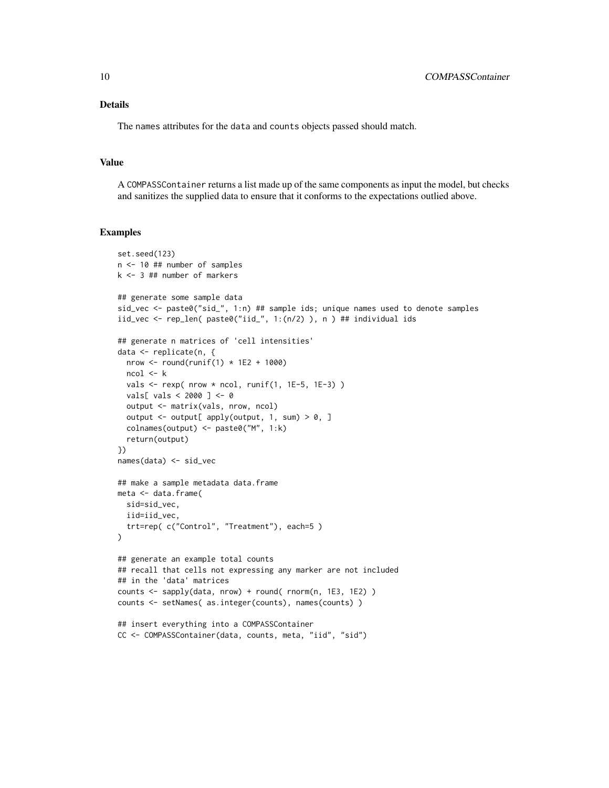## Details

The names attributes for the data and counts objects passed should match.

#### Value

A COMPASSContainer returns a list made up of the same components as input the model, but checks and sanitizes the supplied data to ensure that it conforms to the expectations outlied above.

#### Examples

```
set.seed(123)
n <- 10 ## number of samples
k <- 3 ## number of markers
## generate some sample data
sid_vec <- paste0("sid_", 1:n) ## sample ids; unique names used to denote samples
iid_vec <- rep_len( past^2iid_", 1:(n/2) ), n ) ## individual ids
## generate n matrices of 'cell intensities'
data <- replicate(n, {
  nrow \le round(runif(1) \star 1E2 + 1000)
 ncol <- k
  vals \le rexp( nrow * ncol, runif(1, 1E-5, 1E-3))
  vals[ vals < 2000 ] <- 0
  output <- matrix(vals, nrow, ncol)
  output \leq output[ apply(output, 1, sum) > 0, ]
  colnames(output) <- paste0("M", 1:k)
  return(output)
})
names(data) <- sid_vec
## make a sample metadata data.frame
meta <- data.frame(
  sid=sid_vec,
  iid=iid_vec,
  trt=rep( c("Control", "Treatment"), each=5 )
)
## generate an example total counts
## recall that cells not expressing any marker are not included
## in the 'data' matrices
counts <- sapply(data, nrow) + round( rnorm(n, 1E3, 1E2) )
counts <- setNames( as.integer(counts), names(counts) )
## insert everything into a COMPASSContainer
CC <- COMPASSContainer(data, counts, meta, "iid", "sid")
```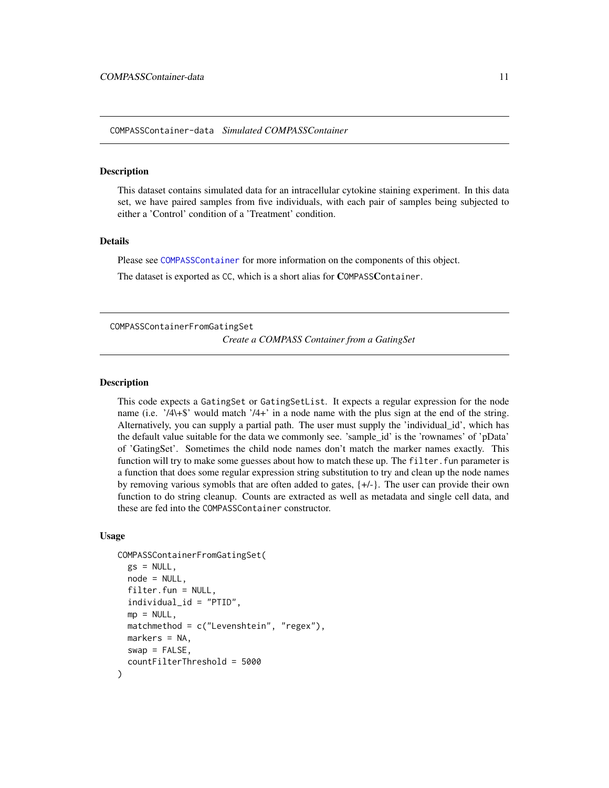#### <span id="page-10-1"></span><span id="page-10-0"></span>Description

This dataset contains simulated data for an intracellular cytokine staining experiment. In this data set, we have paired samples from five individuals, with each pair of samples being subjected to either a 'Control' condition of a 'Treatment' condition.

#### Details

Please see [COMPASSContainer](#page-8-1) for more information on the components of this object.

The dataset is exported as CC, which is a short alias for COMPASSContainer.

COMPASSContainerFromGatingSet *Create a COMPASS Container from a GatingSet*

#### Description

This code expects a GatingSet or GatingSetList. It expects a regular expression for the node name (i.e. '/4\+\$' would match '/4+' in a node name with the plus sign at the end of the string. Alternatively, you can supply a partial path. The user must supply the 'individual\_id', which has the default value suitable for the data we commonly see. 'sample\_id' is the 'rownames' of 'pData' of 'GatingSet'. Sometimes the child node names don't match the marker names exactly. This function will try to make some guesses about how to match these up. The filter. fun parameter is a function that does some regular expression string substitution to try and clean up the node names by removing various symobls that are often added to gates, {+/-}. The user can provide their own function to do string cleanup. Counts are extracted as well as metadata and single cell data, and these are fed into the COMPASSContainer constructor.

```
COMPASSContainerFromGatingSet(
  gs = NULL,node = NULL,
  filter.fun = NULL,
  individual_id = "PTID",
  mp = NULL,
 matchmethod = c("Levenshtein", "regex"),
 markers = NA,
  swap = FALSE,countFilterThreshold = 5000
)
```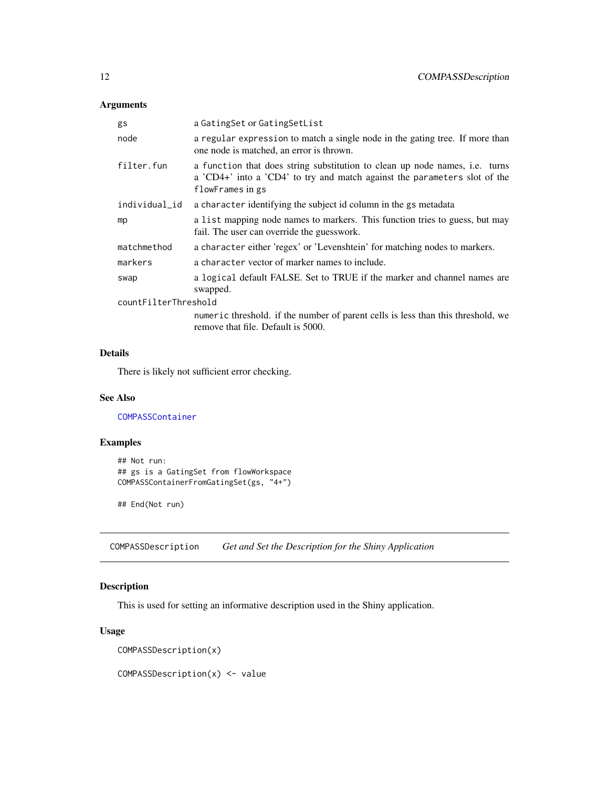<span id="page-11-0"></span>

| gs                   | a GatingSet or GatingSetList                                                                                                                                                        |  |
|----------------------|-------------------------------------------------------------------------------------------------------------------------------------------------------------------------------------|--|
| node                 | a regular expression to match a single node in the gating tree. If more than<br>one node is matched, an error is thrown.                                                            |  |
| filter.fun           | a function that does string substitution to clean up node names, <i>i.e.</i> turns<br>a 'CD4+' into a 'CD4' to try and match against the parameters slot of the<br>flowFrames in gs |  |
| individual_id        | a character identifying the subject id column in the gs metadata                                                                                                                    |  |
| mp                   | a list mapping node names to markers. This function tries to guess, but may<br>fail. The user can override the guesswork.                                                           |  |
| matchmethod          | a character either 'regex' or 'Levenshtein' for matching nodes to markers.                                                                                                          |  |
| markers              | a character vector of marker names to include.                                                                                                                                      |  |
| swap                 | a logical default FALSE. Set to TRUE if the marker and channel names are<br>swapped.                                                                                                |  |
| countFilterThreshold |                                                                                                                                                                                     |  |
|                      | numeric threshold, if the number of parent cells is less than this threshold, we<br>remove that file. Default is 5000.                                                              |  |

## Details

There is likely not sufficient error checking.

### See Also

[COMPASSContainer](#page-8-1)

## Examples

```
## Not run:
## gs is a GatingSet from flowWorkspace
COMPASSContainerFromGatingSet(gs, "4+")
```
## End(Not run)

COMPASSDescription *Get and Set the Description for the Shiny Application*

## Description

This is used for setting an informative description used in the Shiny application.

## Usage

COMPASSDescription(x)

COMPASSDescription(x) <- value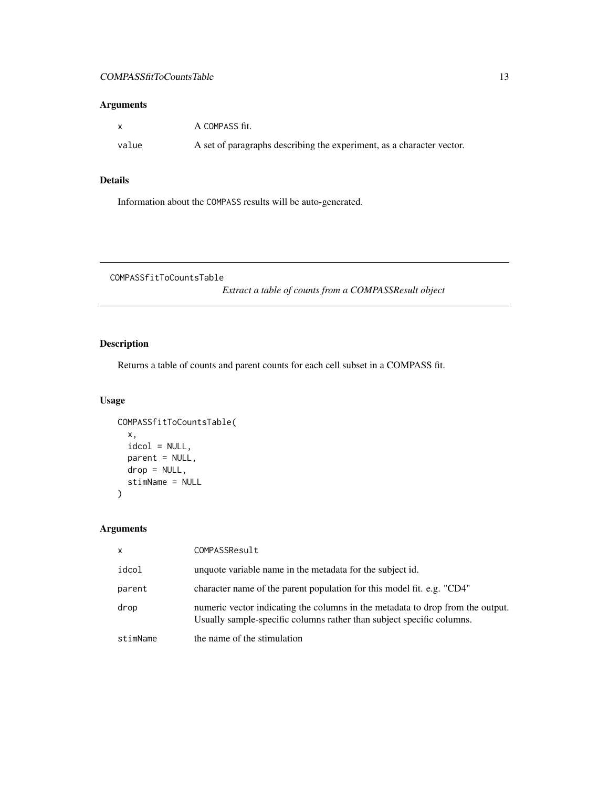<span id="page-12-0"></span>

| $\mathbf{x}$ | A COMPASS fit.                                                        |
|--------------|-----------------------------------------------------------------------|
| value        | A set of paragraphs describing the experiment, as a character vector. |

## Details

Information about the COMPASS results will be auto-generated.

COMPASSfitToCountsTable

*Extract a table of counts from a COMPASSResult object*

## Description

Returns a table of counts and parent counts for each cell subset in a COMPASS fit.

## Usage

```
COMPASSfitToCountsTable(
  x,
  idcol = NULL,
  parent = NULL,
  drop = NULL,
  stimName = NULL
\mathcal{E}
```
## Arguments

| $\mathsf{x}$ | COMPASSResult                                                                                                                                           |
|--------------|---------------------------------------------------------------------------------------------------------------------------------------------------------|
| idcol        | unquote variable name in the metadata for the subject id.                                                                                               |
| parent       | character name of the parent population for this model fit. e.g. "CD4"                                                                                  |
| drop         | numeric vector indicating the columns in the metadata to drop from the output.<br>Usually sample-specific columns rather than subject specific columns. |
| stimName     | the name of the stimulation                                                                                                                             |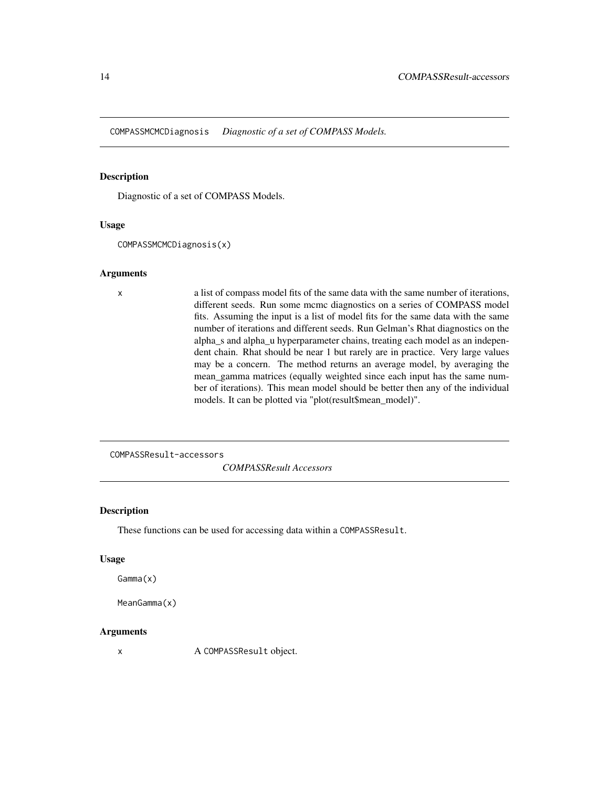<span id="page-13-0"></span>COMPASSMCMCDiagnosis *Diagnostic of a set of COMPASS Models.*

## Description

Diagnostic of a set of COMPASS Models.

#### Usage

COMPASSMCMCDiagnosis(x)

#### Arguments

x a list of compass model fits of the same data with the same number of iterations, different seeds. Run some mcmc diagnostics on a series of COMPASS model fits. Assuming the input is a list of model fits for the same data with the same number of iterations and different seeds. Run Gelman's Rhat diagnostics on the alpha\_s and alpha\_u hyperparameter chains, treating each model as an independent chain. Rhat should be near 1 but rarely are in practice. Very large values may be a concern. The method returns an average model, by averaging the mean\_gamma matrices (equally weighted since each input has the same number of iterations). This mean model should be better then any of the individual models. It can be plotted via "plot(result\$mean\_model)".

COMPASSResult-accessors

*COMPASSResult Accessors*

## Description

These functions can be used for accessing data within a COMPASSResult.

#### Usage

```
Gamma(x)
```

```
MeanGamma(x)
```
#### Arguments

x A COMPASSResult object.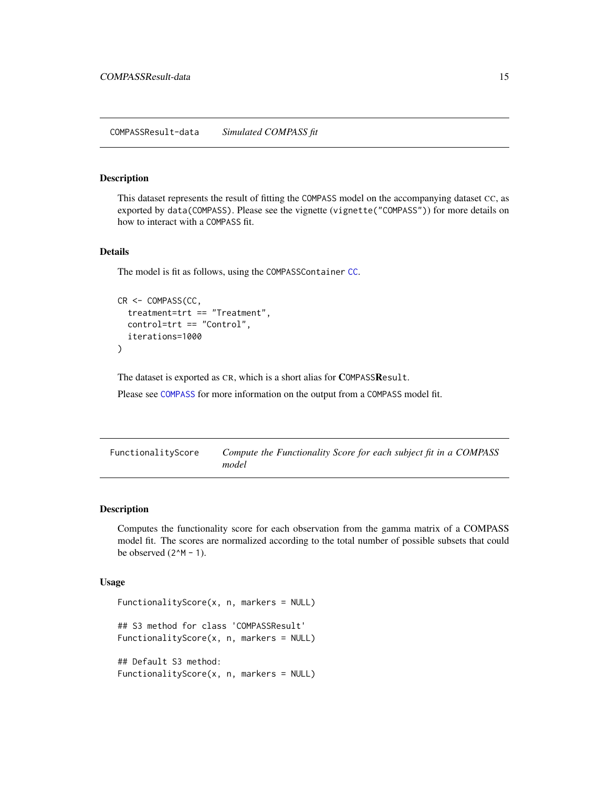#### <span id="page-14-0"></span>Description

This dataset represents the result of fitting the COMPASS model on the accompanying dataset CC, as exported by data(COMPASS). Please see the vignette (vignette("COMPASS")) for more details on how to interact with a COMPASS fit.

## Details

The model is fit as follows, using the COMPASSContainer [CC](#page-10-1).

```
CR <- COMPASS(CC,
  treatment=trt == "Treatment",
  control=trt == "Control",
  iterations=1000
)
```
The dataset is exported as CR, which is a short alias for COMPASSResult.

Please see [COMPASS](#page-5-1) for more information on the output from a COMPASS model fit.

| FunctionalityScore | Compute the Functionality Score for each subject fit in a COMPASS |  |
|--------------------|-------------------------------------------------------------------|--|
|                    | model                                                             |  |

## Description

Computes the functionality score for each observation from the gamma matrix of a COMPASS model fit. The scores are normalized according to the total number of possible subsets that could be observed  $(2^M - 1)$ .

```
FunctionalityScore(x, n, markers = NULL)
## S3 method for class 'COMPASSResult'
FunctionalityScore(x, n, markers = NULL)
## Default S3 method:
FunctionalityScore(x, n, markers = NULL)
```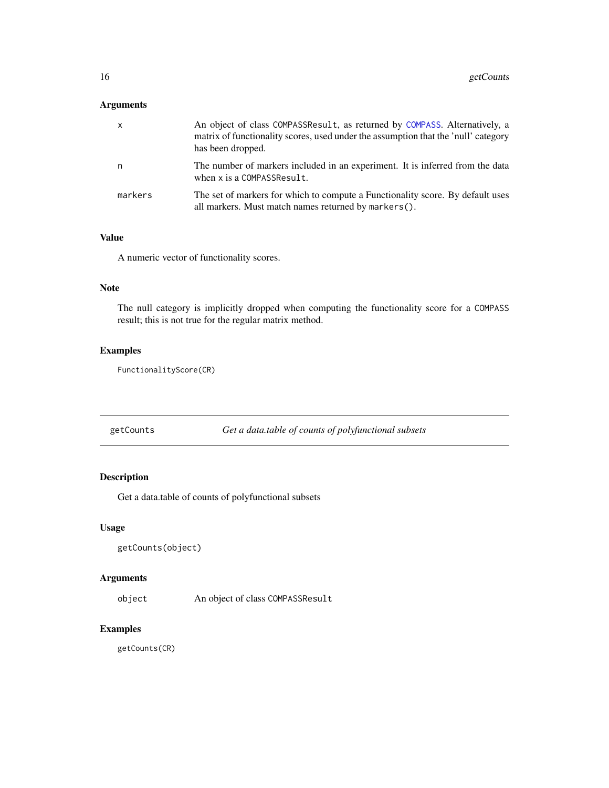<span id="page-15-0"></span>

| $\mathsf{X}$ | An object of class COMPASSResult, as returned by COMPASS. Alternatively, a<br>matrix of functionality scores, used under the assumption that the 'null' category<br>has been dropped. |
|--------------|---------------------------------------------------------------------------------------------------------------------------------------------------------------------------------------|
| n            | The number of markers included in an experiment. It is inferred from the data<br>when x is a COMPASSResult.                                                                           |
| markers      | The set of markers for which to compute a Functionality score. By default uses<br>all markers. Must match names returned by markers().                                                |

## Value

A numeric vector of functionality scores.

## Note

The null category is implicitly dropped when computing the functionality score for a COMPASS result; this is not true for the regular matrix method.

## Examples

FunctionalityScore(CR)

getCounts *Get a data.table of counts of polyfunctional subsets*

## Description

Get a data.table of counts of polyfunctional subsets

## Usage

```
getCounts(object)
```
## Arguments

object An object of class COMPASSResult

## Examples

getCounts(CR)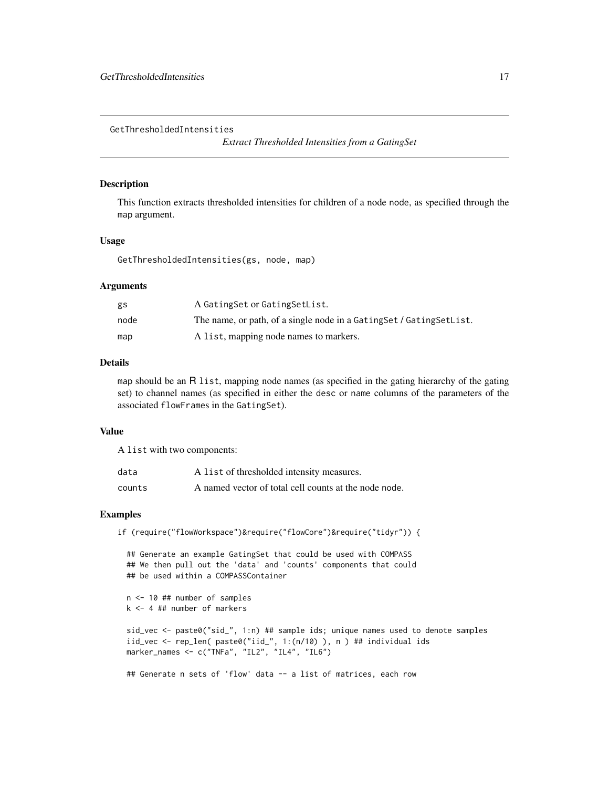<span id="page-16-0"></span>GetThresholdedIntensities

*Extract Thresholded Intensities from a GatingSet*

#### Description

This function extracts thresholded intensities for children of a node node, as specified through the map argument.

## Usage

GetThresholdedIntensities(gs, node, map)

#### Arguments

| gs   | A Gating Set or Gating Set List.                                       |
|------|------------------------------------------------------------------------|
| node | The name, or path, of a single node in a Gating Set / Gating Set List. |
| map  | A list, mapping node names to markers.                                 |

#### Details

map should be an R list, mapping node names (as specified in the gating hierarchy of the gating set) to channel names (as specified in either the desc or name columns of the parameters of the associated flowFrames in the GatingSet).

## Value

A list with two components:

| data   | A list of thresholded intensity measures.             |
|--------|-------------------------------------------------------|
| counts | A named vector of total cell counts at the node node. |

## Examples

if (require("flowWorkspace")&require("flowCore")&require("tidyr")) {

## Generate an example GatingSet that could be used with COMPASS ## We then pull out the 'data' and 'counts' components that could ## be used within a COMPASSContainer n <- 10 ## number of samples

k <- 4 ## number of markers

sid\_vec <- paste0("sid\_", 1:n) ## sample ids; unique names used to denote samples iid\_vec <- rep\_len( paste0("iid\_", 1:(n/10) ), n ) ## individual ids marker\_names <- c("TNFa", "IL2", "IL4", "IL6")

## Generate n sets of 'flow' data -- a list of matrices, each row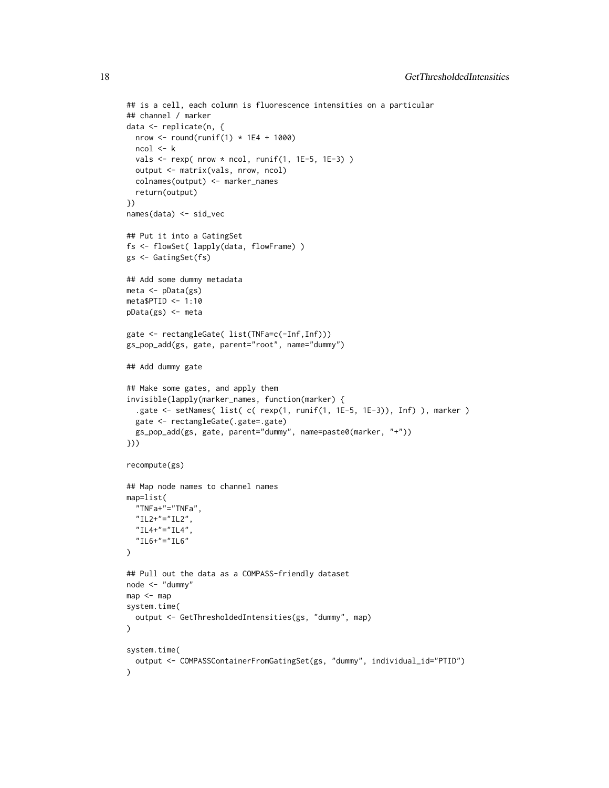```
## is a cell, each column is fluorescence intensities on a particular
## channel / marker
data <- replicate(n, {
 nrow \le round(runif(1) \star 1E4 + 1000)
 ncol <- k
 vals \le rexp( nrow * ncol, runif(1, 1E-5, 1E-3))
 output <- matrix(vals, nrow, ncol)
 colnames(output) <- marker_names
 return(output)
})
names(data) <- sid_vec
## Put it into a GatingSet
fs <- flowSet( lapply(data, flowFrame) )
gs <- GatingSet(fs)
## Add some dummy metadata
meta <- pData(gs)
meta$PTID <- 1:10
pData(gs) <- meta
gate <- rectangleGate( list(TNFa=c(-Inf,Inf)))
gs_pop_add(gs, gate, parent="root", name="dummy")
## Add dummy gate
## Make some gates, and apply them
invisible(lapply(marker_names, function(marker) {
 .gate <- setNames( list( c( rexp(1, runif(1, 1E-5, 1E-3)), Inf) ), marker )
 gate <- rectangleGate(.gate=.gate)
 gs_pop_add(gs, gate, parent="dummy", name=paste0(marker, "+"))
}))
recompute(gs)
## Map node names to channel names
map=list(
 "TNFa+"="TNFa",
  "IL2+"="IL2",
  "IL4+"="IL4""IL6+"="IL6"
)
## Pull out the data as a COMPASS-friendly dataset
node <- "dummy"
map <- map
system.time(
 output <- GetThresholdedIntensities(gs, "dummy", map)
)
system.time(
 output <- COMPASSContainerFromGatingSet(gs, "dummy", individual_id="PTID")
)
```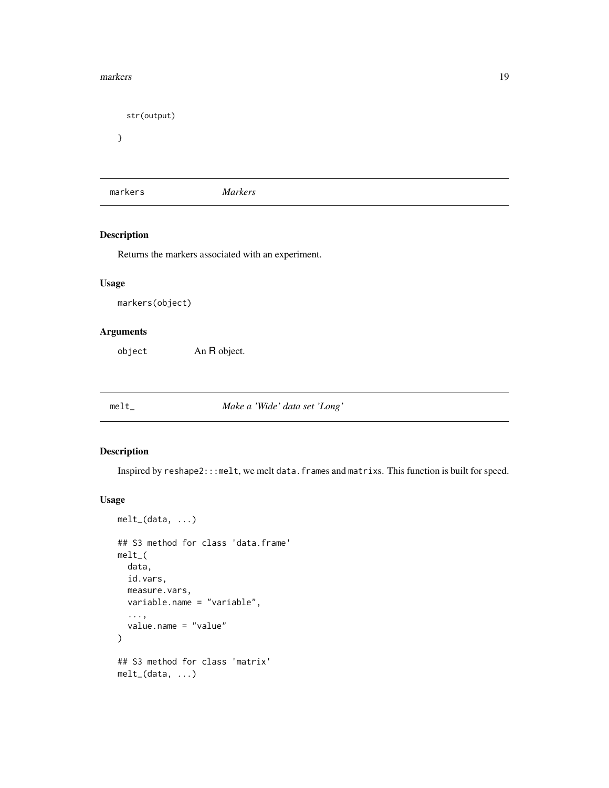#### <span id="page-18-0"></span>markers and the contract of the contract of the contract of the contract of the contract of the contract of the contract of the contract of the contract of the contract of the contract of the contract of the contract of th

str(output) }

markers *Markers*

## Description

Returns the markers associated with an experiment.

#### Usage

markers(object)

## Arguments

object An R object.

melt\_ *Make a 'Wide' data set 'Long'*

#### Description

Inspired by reshape2:::melt, we melt data.frames and matrixs. This function is built for speed.

```
melt_(data, ...)
## S3 method for class 'data.frame'
melt_(
 data,
  id.vars,
 measure.vars,
 variable.name = "variable",
  ...,
  value.name = "value"
\lambda## S3 method for class 'matrix'
melt_(data, ...)
```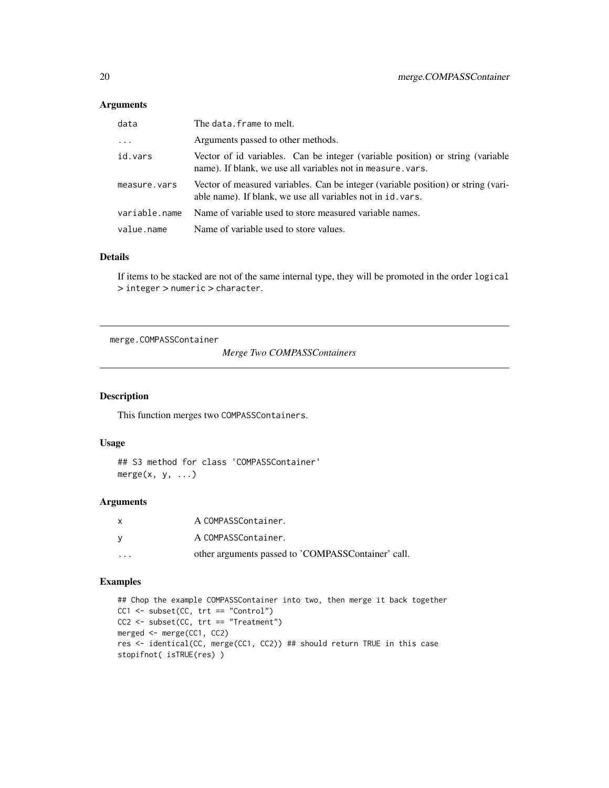<span id="page-19-0"></span>

| data          | The data. frame to melt.                                                                                                                         |
|---------------|--------------------------------------------------------------------------------------------------------------------------------------------------|
| $\cdots$      | Arguments passed to other methods.                                                                                                               |
| id.vars       | Vector of id variables. Can be integer (variable position) or string (variable<br>name). If blank, we use all variables not in measure, vars.    |
| measure.vars  | Vector of measured variables. Can be integer (variable position) or string (vari-<br>able name). If blank, we use all variables not in id. vars. |
| variable.name | Name of variable used to store measured variable names.                                                                                          |
| value.name    | Name of variable used to store values.                                                                                                           |

#### Details

If items to be stacked are not of the same internal type, they will be promoted in the order logical > integer > numeric > character.

merge.COMPASSContainer

*Merge Two COMPASSContainers*

#### Description

This function merges two COMPASSContainers.

## Usage

## S3 method for class 'COMPASSContainer'  $merge(x, y, \ldots)$ 

#### Arguments

| X                       | A COMPASSContainer.                                |
|-------------------------|----------------------------------------------------|
| <b>V</b>                | A COMPASSContainer.                                |
| $\cdot$ $\cdot$ $\cdot$ | other arguments passed to 'COMPASSContainer' call. |

## Examples

```
## Chop the example COMPASSContainer into two, then merge it back together
CC1 <- subset(CC, trt == "Control")
CC2 <- subset(CC, trt == "Treatment")
merged <- merge(CC1, CC2)
res <- identical(CC, merge(CC1, CC2)) ## should return TRUE in this case
stopifnot( isTRUE(res) )
```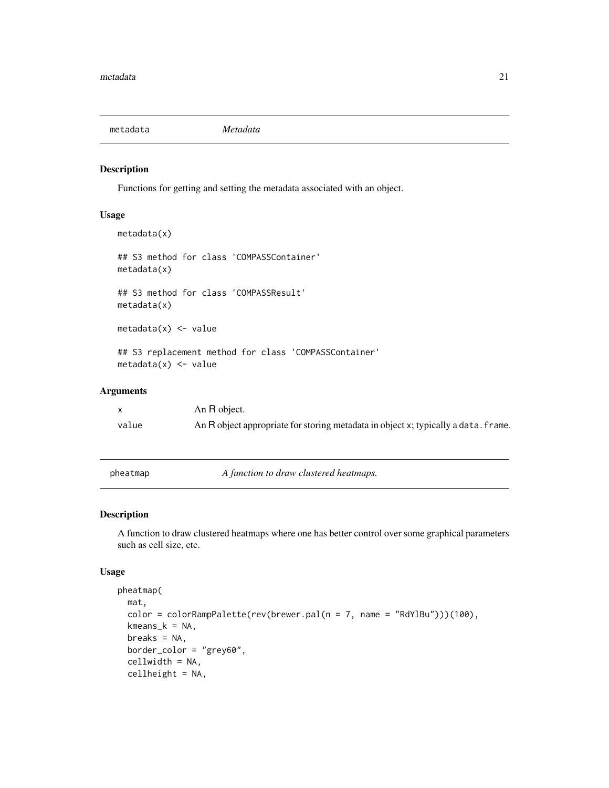<span id="page-20-0"></span>

## Description

Functions for getting and setting the metadata associated with an object.

#### Usage

```
metadata(x)
## S3 method for class 'COMPASSContainer'
metadata(x)
## S3 method for class 'COMPASSResult'
metadata(x)
metadata(x) < - value## S3 replacement method for class 'COMPASSContainer'
metadata(x) < - value
```
## Arguments

|       | An R object.                                                                       |
|-------|------------------------------------------------------------------------------------|
| value | An R object appropriate for storing metadata in object x; typically a data. frame. |

pheatmap *A function to draw clustered heatmaps.*

## Description

A function to draw clustered heatmaps where one has better control over some graphical parameters such as cell size, etc.

```
pheatmap(
 mat,
  color = colorRampPalette(rev(brewer.pal(n = 7, name = "RdYlBu")))(100),
 kmeans_k = NA,
 breaks = NA,
 border_color = "grey60",
  cellwidth = NA,
  cellheight = NA,
```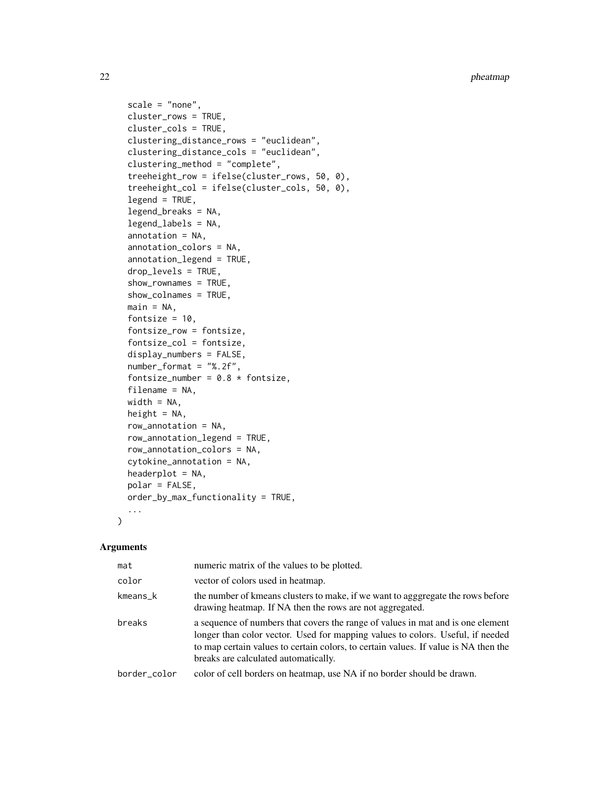```
scale = "none",cluster_rows = TRUE,
  cluster_cols = TRUE,
 clustering_distance_rows = "euclidean",
  clustering_distance_cols = "euclidean",
  clustering_method = "complete",
  treeheight_row = ifelse(cluster_rows, 50, 0),
  treeheight_col = ifelse(cluster_cols, 50, 0),
  legend = TRUE,legend_breaks = NA,
  legend_labels = NA,
  annotation = NA,
  annotation_colors = NA,
  annotation_legend = TRUE,
  drop_levels = TRUE,
  show_rownames = TRUE,
  show_colnames = TRUE,
 main = NA,
  fontsize = 10,
  fontsize_row = fontsize,
  fontsize_col = fontsize,
  display_numbers = FALSE,
  number_format = "%.2f",
  fontsize_number = 0.8 * fontsize,
  filename = NA,
 width = NA,
  height = NA,
  row_annotation = NA,
  row_annotation_legend = TRUE,
  row_annotation_colors = NA,
  cytokine_annotation = NA,
 headerplot = NA,
 polar = FALSE,
 order_by_max_functionality = TRUE,
  ...
\mathcal{L}
```

| mat          | numeric matrix of the values to be plotted.                                                                                                                                                                                                                                                      |
|--------------|--------------------------------------------------------------------------------------------------------------------------------------------------------------------------------------------------------------------------------------------------------------------------------------------------|
| color        | vector of colors used in heatmap.                                                                                                                                                                                                                                                                |
| kmeans k     | the number of kmeans clusters to make, if we want to agggregate the rows before<br>drawing heatmap. If NA then the rows are not aggregated.                                                                                                                                                      |
| breaks       | a sequence of numbers that covers the range of values in mat and is one element<br>longer than color vector. Used for mapping values to colors. Useful, if needed<br>to map certain values to certain colors, to certain values. If value is NA then the<br>breaks are calculated automatically. |
| border color | color of cell borders on heatmap, use NA if no border should be drawn.                                                                                                                                                                                                                           |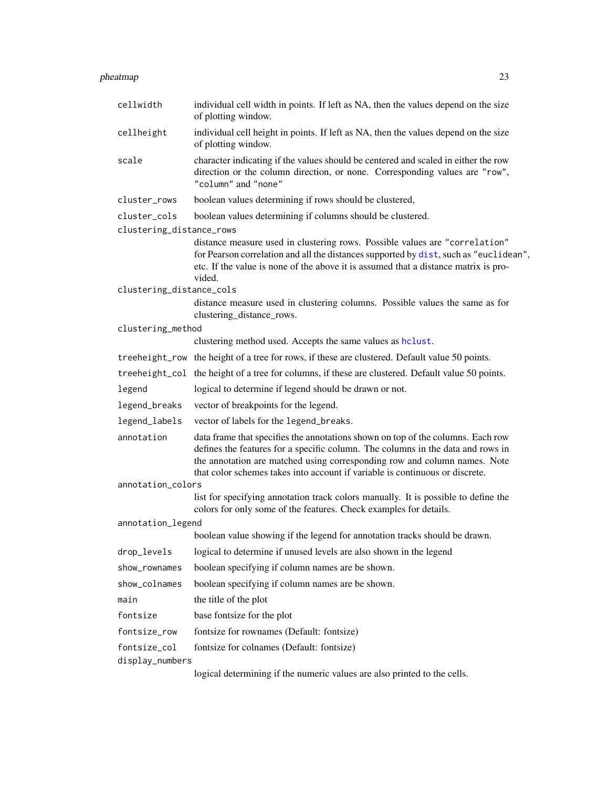<span id="page-22-0"></span>

| cellwidth                | individual cell width in points. If left as NA, then the values depend on the size<br>of plotting window.                                                                                                                                                                                                                       |
|--------------------------|---------------------------------------------------------------------------------------------------------------------------------------------------------------------------------------------------------------------------------------------------------------------------------------------------------------------------------|
| cellheight               | individual cell height in points. If left as NA, then the values depend on the size<br>of plotting window.                                                                                                                                                                                                                      |
| scale                    | character indicating if the values should be centered and scaled in either the row<br>direction or the column direction, or none. Corresponding values are "row",<br>"column" and "none"                                                                                                                                        |
| cluster_rows             | boolean values determining if rows should be clustered,                                                                                                                                                                                                                                                                         |
| cluster_cols             | boolean values determining if columns should be clustered.                                                                                                                                                                                                                                                                      |
| clustering_distance_rows |                                                                                                                                                                                                                                                                                                                                 |
|                          | distance measure used in clustering rows. Possible values are "correlation"<br>for Pearson correlation and all the distances supported by dist, such as "euclidean",<br>etc. If the value is none of the above it is assumed that a distance matrix is pro-<br>vided.                                                           |
| clustering_distance_cols |                                                                                                                                                                                                                                                                                                                                 |
|                          | distance measure used in clustering columns. Possible values the same as for<br>clustering_distance_rows.                                                                                                                                                                                                                       |
| clustering_method        |                                                                                                                                                                                                                                                                                                                                 |
|                          | clustering method used. Accepts the same values as holust.                                                                                                                                                                                                                                                                      |
|                          | treeheight_row the height of a tree for rows, if these are clustered. Default value 50 points.                                                                                                                                                                                                                                  |
|                          | treeheight_col the height of a tree for columns, if these are clustered. Default value 50 points.                                                                                                                                                                                                                               |
| legend                   | logical to determine if legend should be drawn or not.                                                                                                                                                                                                                                                                          |
| legend_breaks            | vector of breakpoints for the legend.                                                                                                                                                                                                                                                                                           |
| legend_labels            | vector of labels for the legend_breaks.                                                                                                                                                                                                                                                                                         |
| annotation               | data frame that specifies the annotations shown on top of the columns. Each row<br>defines the features for a specific column. The columns in the data and rows in<br>the annotation are matched using corresponding row and column names. Note<br>that color schemes takes into account if variable is continuous or discrete. |
| annotation_colors        |                                                                                                                                                                                                                                                                                                                                 |
|                          | list for specifying annotation track colors manually. It is possible to define the<br>colors for only some of the features. Check examples for details.                                                                                                                                                                         |
| annotation_legend        |                                                                                                                                                                                                                                                                                                                                 |
|                          | boolean value showing if the legend for annotation tracks should be drawn.                                                                                                                                                                                                                                                      |
| drop_levels              | logical to determine if unused levels are also shown in the legend                                                                                                                                                                                                                                                              |
| show_rownames            | boolean specifying if column names are be shown.                                                                                                                                                                                                                                                                                |
| show_colnames            | boolean specifying if column names are be shown.                                                                                                                                                                                                                                                                                |
| main                     | the title of the plot                                                                                                                                                                                                                                                                                                           |
| fontsize                 | base fontsize for the plot                                                                                                                                                                                                                                                                                                      |
| fontsize_row             | fontsize for rownames (Default: fontsize)                                                                                                                                                                                                                                                                                       |
| fontsize_col             | fontsize for colnames (Default: fontsize)                                                                                                                                                                                                                                                                                       |
| display_numbers          |                                                                                                                                                                                                                                                                                                                                 |

logical determining if the numeric values are also printed to the cells.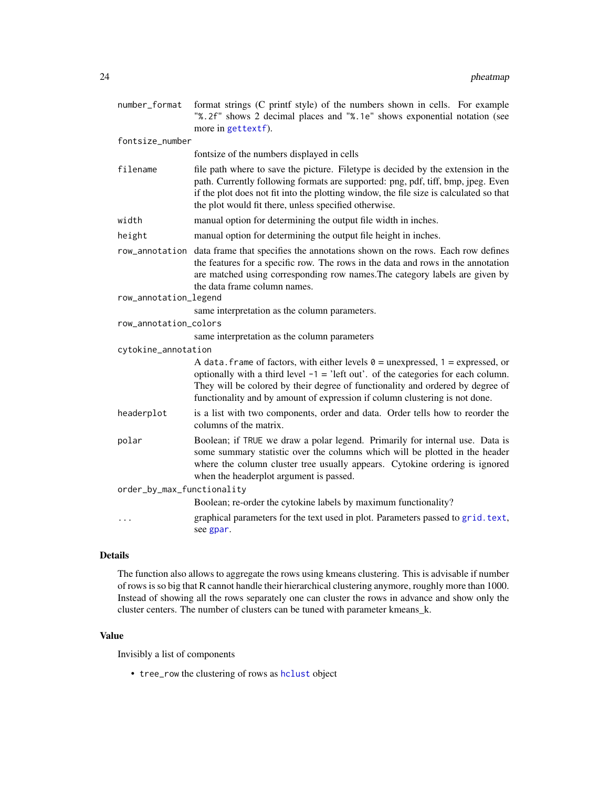<span id="page-23-0"></span>

| number_format              | format strings (C printf style) of the numbers shown in cells. For example<br>"%.2f" shows 2 decimal places and "%.1e" shows exponential notation (see<br>more in gettextf).                                                                                                                                                                   |
|----------------------------|------------------------------------------------------------------------------------------------------------------------------------------------------------------------------------------------------------------------------------------------------------------------------------------------------------------------------------------------|
| fontsize_number            |                                                                                                                                                                                                                                                                                                                                                |
|                            | fontsize of the numbers displayed in cells                                                                                                                                                                                                                                                                                                     |
| filename                   | file path where to save the picture. Filetype is decided by the extension in the<br>path. Currently following formats are supported: png, pdf, tiff, bmp, jpeg. Even<br>if the plot does not fit into the plotting window, the file size is calculated so that<br>the plot would fit there, unless specified otherwise.                        |
| width                      | manual option for determining the output file width in inches.                                                                                                                                                                                                                                                                                 |
| height                     | manual option for determining the output file height in inches.                                                                                                                                                                                                                                                                                |
|                            | row_annotation data frame that specifies the annotations shown on the rows. Each row defines<br>the features for a specific row. The rows in the data and rows in the annotation<br>are matched using corresponding row names. The category labels are given by<br>the data frame column names.                                                |
| row_annotation_legend      |                                                                                                                                                                                                                                                                                                                                                |
|                            | same interpretation as the column parameters.                                                                                                                                                                                                                                                                                                  |
| row_annotation_colors      |                                                                                                                                                                                                                                                                                                                                                |
|                            | same interpretation as the column parameters                                                                                                                                                                                                                                                                                                   |
| cytokine_annotation        |                                                                                                                                                                                                                                                                                                                                                |
|                            | A data. frame of factors, with either levels $\theta$ = unexpressed, 1 = expressed, or<br>optionally with a third level $-1$ = 'left out'. of the categories for each column.<br>They will be colored by their degree of functionality and ordered by degree of<br>functionality and by amount of expression if column clustering is not done. |
| headerplot                 | is a list with two components, order and data. Order tells how to reorder the<br>columns of the matrix.                                                                                                                                                                                                                                        |
| polar                      | Boolean; if TRUE we draw a polar legend. Primarily for internal use. Data is<br>some summary statistic over the columns which will be plotted in the header<br>where the column cluster tree usually appears. Cytokine ordering is ignored<br>when the headerplot argument is passed.                                                          |
| order_by_max_functionality |                                                                                                                                                                                                                                                                                                                                                |
|                            | Boolean; re-order the cytokine labels by maximum functionality?                                                                                                                                                                                                                                                                                |
|                            | graphical parameters for the text used in plot. Parameters passed to grid. text,<br>see gpar.                                                                                                                                                                                                                                                  |

## Details

The function also allows to aggregate the rows using kmeans clustering. This is advisable if number of rows is so big that R cannot handle their hierarchical clustering anymore, roughly more than 1000. Instead of showing all the rows separately one can cluster the rows in advance and show only the cluster centers. The number of clusters can be tuned with parameter kmeans\_k.

## Value

Invisibly a list of components

• tree\_row the clustering of rows as [hclust](#page-0-0) object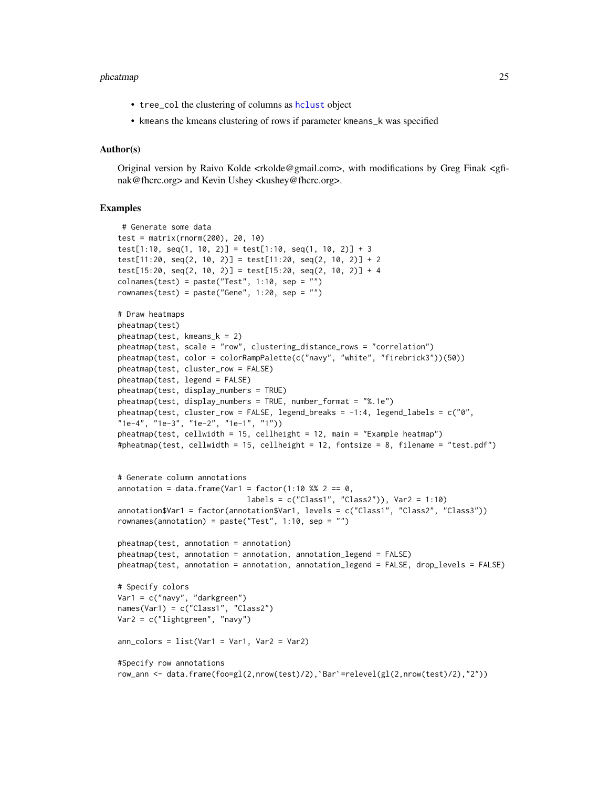#### <span id="page-24-0"></span>pheatmap 25

- tree\_col the clustering of columns as [hclust](#page-0-0) object
- kmeans the kmeans clustering of rows if parameter kmeans\_k was specified

#### Author(s)

Original version by Raivo Kolde <rkolde@gmail.com>, with modifications by Greg Finak <gfinak@fhcrc.org> and Kevin Ushey <kushey@fhcrc.org>.

#### Examples

```
# Generate some data
test = matrix(rnorm(200), 20, 10)
test[1:10, seq(1, 10, 2)] = test[1:10, seq(1, 10, 2)] + 3
test[11:20, seq(2, 10, 2)] = test[11:20, seq(2, 10, 2)] + 2test[15:20, seq(2, 10, 2)] = test[15:20, seq(2, 10, 2)] + 4
collnames(test) = paste("Test", 1:10, sep = "")rownames(test) = paste("Gene", 1:20, sep = "")
# Draw heatmaps
pheatmap(test)
pheatmap(test, kmeans_k = 2)
pheatmap(test, scale = "row", clustering_distance_rows = "correlation")
pheatmap(test, color = colorRampPalette(c("navy", "white", "firebrick3"))(50))
pheatmap(test, cluster_row = FALSE)
pheatmap(test, legend = FALSE)
pheatmap(test, display_numbers = TRUE)
pheatmap(test, display_numbers = TRUE, number_format = "%.1e")
pheatmap(test, cluster_row = FALSE, legend_breaks = -1:4, legend_labels = c("0","1e-4", "1e-3", "1e-2", "1e-1", "1"))
pheatmap(test, cellwidth = 15, cellheight = 12, main = "Example heatmap")
#pheatmap(test, cellwidth = 15, cellheight = 12, fontsize = 8, filename = "test.pdf")
# Generate column annotations
annotation = data.frame(Var1 = factor(1:10 %% 2 == 0,
                             labels = c("Class1", "Class2")), Var2 = 1:10)annotation$Var1 = factor(annotation$Var1, levels = c("Class1", "Class2", "Class3"))
rownames(annotation) = paste("Test", 1:10, sep = "")
pheatmap(test, annotation = annotation)
pheatmap(test, annotation = annotation, annotation_legend = FALSE)
pheatmap(test, annotation = annotation, annotation_legend = FALSE, drop_levels = FALSE)
# Specify colors
Var1 = c("navy", "darkgreen")
names(Var1) = c("Class1", "Class2")
Var2 = c("lightgreen", "navy")
ann_{colors = list(Var1 = Var1, Var2 = Var2)}#Specify row annotations
row_ann <- data.frame(foo=gl(2,nrow(test)/2),`Bar`=relevel(gl(2,nrow(test)/2),"2"))
```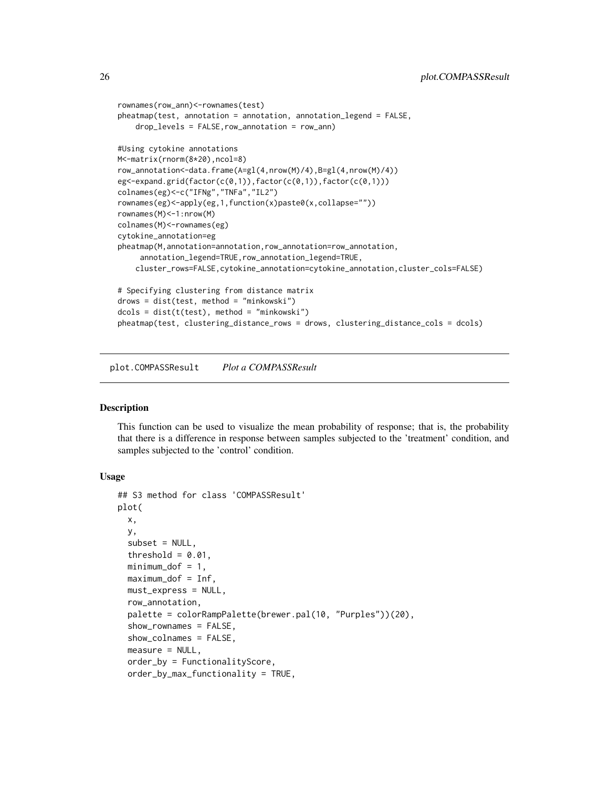```
rownames(row_ann)<-rownames(test)
pheatmap(test, annotation = annotation, annotation_legend = FALSE,
    drop_levels = FALSE,row_annotation = row_ann)
#Using cytokine annotations
M<-matrix(rnorm(8*20),ncol=8)
row_annotation<-data.frame(A=gl(4,nrow(M)/4),B=gl(4,nrow(M)/4))
eg<-expand.grid(factor(c(0,1)),factor(c(0,1)),factor(c(0,1)))
colnames(eg)<-c("IFNg","TNFa","IL2")
rownames(eg)<-apply(eg,1,function(x)paste0(x,collapse=""))
rownames(M)<-1:nrow(M)
colnames(M)<-rownames(eg)
cytokine_annotation=eg
pheatmap(M,annotation=annotation,row_annotation=row_annotation,
     annotation_legend=TRUE,row_annotation_legend=TRUE,
    cluster_rows=FALSE,cytokine_annotation=cytokine_annotation,cluster_cols=FALSE)
# Specifying clustering from distance matrix
drows = dist(test, method = "minkowski")
dcols = dist(t(test), method = "minkowski")
pheatmap(test, clustering_distance_rows = drows, clustering_distance_cols = dcols)
```
plot.COMPASSResult *Plot a COMPASSResult*

#### Description

This function can be used to visualize the mean probability of response; that is, the probability that there is a difference in response between samples subjected to the 'treatment' condition, and samples subjected to the 'control' condition.

```
## S3 method for class 'COMPASSResult'
plot(
  x,
 y,
  subset = NULL,threshold = 0.01,
  minimum\_dof = 1,
 maximum_dof = Inf,
  must_express = NULL,
  row_annotation,
  palette = colorRampPalette(brewer.pal(10, "Purples"))(20),
  show_rownames = FALSE,
  show_colnames = FALSE,
  measure = NULL,
  order_by = FunctionalityScore,
  order_by_max_functionality = TRUE,
```
<span id="page-25-0"></span>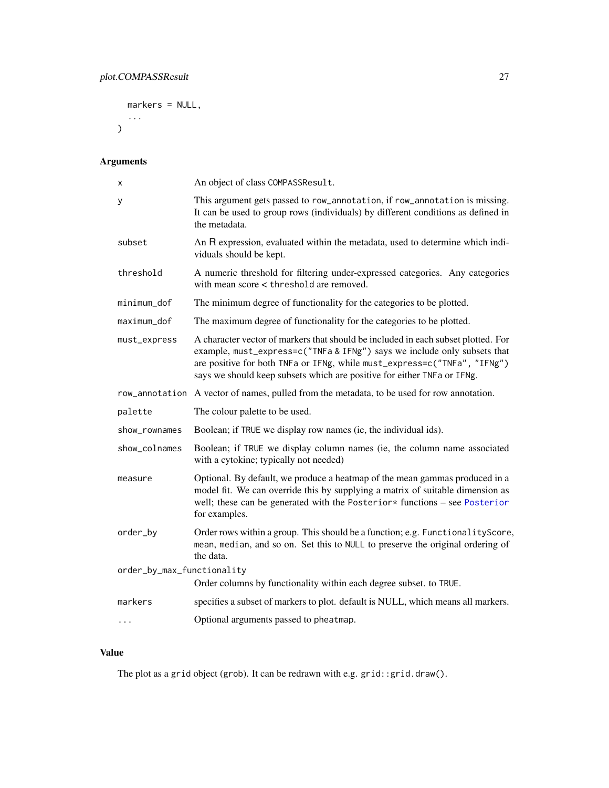```
markers = NULL,
...
```
 $\overline{)}$ 

## Arguments

| х                          | An object of class COMPASSResult.                                                                                                                                                                                                                                                                                    |
|----------------------------|----------------------------------------------------------------------------------------------------------------------------------------------------------------------------------------------------------------------------------------------------------------------------------------------------------------------|
| у                          | This argument gets passed to row_annotation, if row_annotation is missing.<br>It can be used to group rows (individuals) by different conditions as defined in<br>the metadata.                                                                                                                                      |
| subset                     | An R expression, evaluated within the metadata, used to determine which indi-<br>viduals should be kept.                                                                                                                                                                                                             |
| threshold                  | A numeric threshold for filtering under-expressed categories. Any categories<br>with mean score < threshold are removed.                                                                                                                                                                                             |
| minimum_dof                | The minimum degree of functionality for the categories to be plotted.                                                                                                                                                                                                                                                |
| maximum dof                | The maximum degree of functionality for the categories to be plotted.                                                                                                                                                                                                                                                |
| must_express               | A character vector of markers that should be included in each subset plotted. For<br>example, must_express=c("TNFa & IFNg") says we include only subsets that<br>are positive for both TNFa or IFNg, while must_express=c("TNFa", "IFNg")<br>says we should keep subsets which are positive for either TNFa or IFNg. |
|                            | row_annotation A vector of names, pulled from the metadata, to be used for row annotation.                                                                                                                                                                                                                           |
| palette                    | The colour palette to be used.                                                                                                                                                                                                                                                                                       |
| show_rownames              | Boolean; if TRUE we display row names (ie, the individual ids).                                                                                                                                                                                                                                                      |
| show_colnames              | Boolean; if TRUE we display column names (ie, the column name associated<br>with a cytokine; typically not needed)                                                                                                                                                                                                   |
| measure                    | Optional. By default, we produce a heatmap of the mean gammas produced in a<br>model fit. We can override this by supplying a matrix of suitable dimension as<br>well; these can be generated with the Posterior* functions - see Posterior<br>for examples.                                                         |
| order_by                   | Order rows within a group. This should be a function; e.g. Functionality Score,<br>mean, median, and so on. Set this to NULL to preserve the original ordering of<br>the data.                                                                                                                                       |
| order_by_max_functionality |                                                                                                                                                                                                                                                                                                                      |
|                            | Order columns by functionality within each degree subset. to TRUE.                                                                                                                                                                                                                                                   |
| markers                    | specifies a subset of markers to plot. default is NULL, which means all markers.                                                                                                                                                                                                                                     |
|                            | Optional arguments passed to pheatmap.                                                                                                                                                                                                                                                                               |

## Value

The plot as a grid object (grob). It can be redrawn with e.g. grid::grid.draw().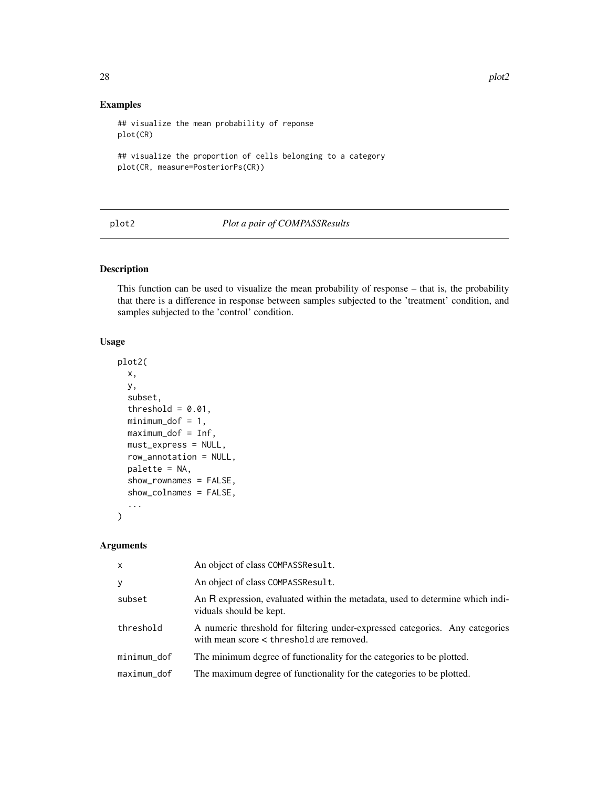## Examples

```
## visualize the mean probability of reponse
plot(CR)
## visualize the proportion of cells belonging to a category
plot(CR, measure=PosteriorPs(CR))
```
## plot2 *Plot a pair of COMPASSResults*

## Description

This function can be used to visualize the mean probability of response – that is, the probability that there is a difference in response between samples subjected to the 'treatment' condition, and samples subjected to the 'control' condition.

## Usage

```
plot2(
 x,
 y,
  subset,
  threshold = 0.01,
 minimum_dof = 1,maximum_dof = Inf,
 must_express = NULL,
  row_annotation = NULL,
 palette = NA,
  show_rownames = FALSE,
  show_colnames = FALSE,
  ...
\mathcal{E}
```
#### Arguments

| $\mathsf{x}$ | An object of class COMPASSResult.                                                                                        |
|--------------|--------------------------------------------------------------------------------------------------------------------------|
| У            | An object of class COMPASSResult.                                                                                        |
| subset       | An R expression, evaluated within the metadata, used to determine which indi-<br>viduals should be kept.                 |
| threshold    | A numeric threshold for filtering under-expressed categories. Any categories<br>with mean score < threshold are removed. |
| minimum_dof  | The minimum degree of functionality for the categories to be plotted.                                                    |
| maximum dof  | The maximum degree of functionality for the categories to be plotted.                                                    |

<span id="page-27-0"></span>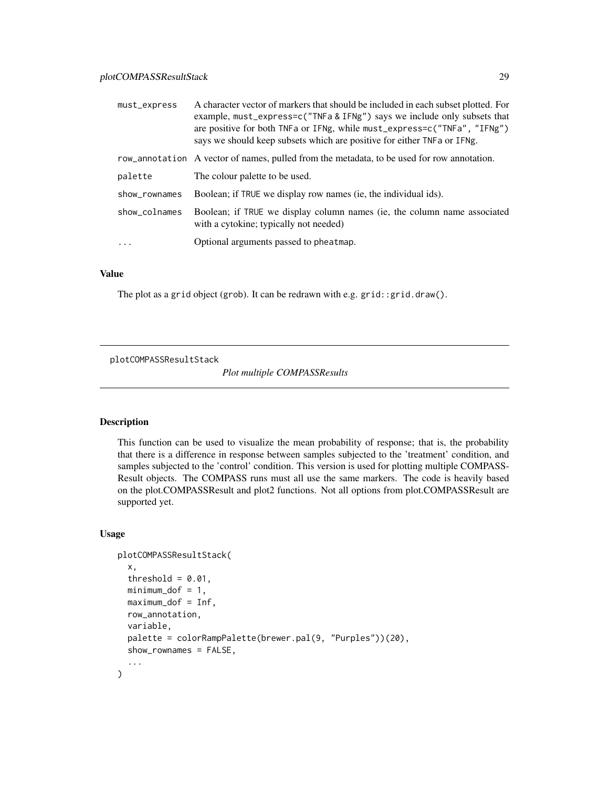<span id="page-28-0"></span>

| must_express  | A character vector of markers that should be included in each subset plotted. For<br>example, must_express=c("TNFa & IFNg") says we include only subsets that<br>are positive for both TNFa or IFNg, while must_express=c("TNFa", "IFNg")<br>says we should keep subsets which are positive for either TNFa or IFNg. |
|---------------|----------------------------------------------------------------------------------------------------------------------------------------------------------------------------------------------------------------------------------------------------------------------------------------------------------------------|
|               | row_annotation A vector of names, pulled from the metadata, to be used for row annotation.                                                                                                                                                                                                                           |
| palette       | The colour palette to be used.                                                                                                                                                                                                                                                                                       |
| show_rownames | Boolean; if TRUE we display row names (ie, the individual ids).                                                                                                                                                                                                                                                      |
| show_colnames | Boolean; if TRUE we display column names (ie, the column name associated<br>with a cytokine; typically not needed)                                                                                                                                                                                                   |
| .             | Optional arguments passed to pheatmap.                                                                                                                                                                                                                                                                               |

## Value

The plot as a grid object (grob). It can be redrawn with e.g. grid::grid.draw().

plotCOMPASSResultStack

*Plot multiple COMPASSResults*

#### Description

This function can be used to visualize the mean probability of response; that is, the probability that there is a difference in response between samples subjected to the 'treatment' condition, and samples subjected to the 'control' condition. This version is used for plotting multiple COMPASS-Result objects. The COMPASS runs must all use the same markers. The code is heavily based on the plot.COMPASSResult and plot2 functions. Not all options from plot.COMPASSResult are supported yet.

```
plotCOMPASSResultStack(
  x,
  threshold = 0.01,
  minimum\_dof = 1,maximum_dof = Inf,
  row_annotation,
  variable,
  palette = colorRampPalette(brewer.pal(9, "Purples"))(20),
  show_rownames = FALSE,
  ...
)
```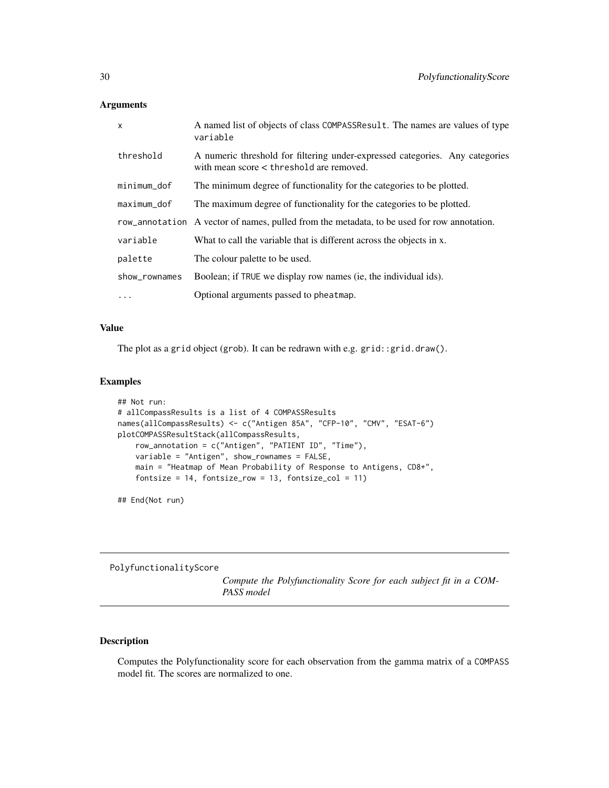| $\mathsf{x}$  | A named list of objects of class COMPASSResult. The names are values of type<br>variable                                 |
|---------------|--------------------------------------------------------------------------------------------------------------------------|
| threshold     | A numeric threshold for filtering under-expressed categories. Any categories<br>with mean score < threshold are removed. |
| minimum_dof   | The minimum degree of functionality for the categories to be plotted.                                                    |
| $maximum_d$   | The maximum degree of functionality for the categories to be plotted.                                                    |
|               | row_annotation A vector of names, pulled from the metadata, to be used for row annotation.                               |
| variable      | What to call the variable that is different across the objects in x.                                                     |
| palette       | The colour palette to be used.                                                                                           |
| show_rownames | Boolean; if TRUE we display row names (ie, the individual ids).                                                          |
| $\cdots$      | Optional arguments passed to pheatmap.                                                                                   |

## Value

The plot as a grid object (grob). It can be redrawn with e.g. grid::grid.draw().

## Examples

```
## Not run:
# allCompassResults is a list of 4 COMPASSResults
names(allCompassResults) <- c("Antigen 85A", "CFP-10", "CMV", "ESAT-6")
plotCOMPASSResultStack(allCompassResults,
    row_annotation = c("Antigen", "PATIENT ID", "Time"),
   variable = "Antigen", show_rownames = FALSE,
   main = "Heatmap of Mean Probability of Response to Antigens, CD8+",
    fontsize = 14, fontsize_row = 13, fontsize_col = 11)
```
## End(Not run)

PolyfunctionalityScore

*Compute the Polyfunctionality Score for each subject fit in a COM-PASS model*

## Description

Computes the Polyfunctionality score for each observation from the gamma matrix of a COMPASS model fit. The scores are normalized to one.

<span id="page-29-0"></span>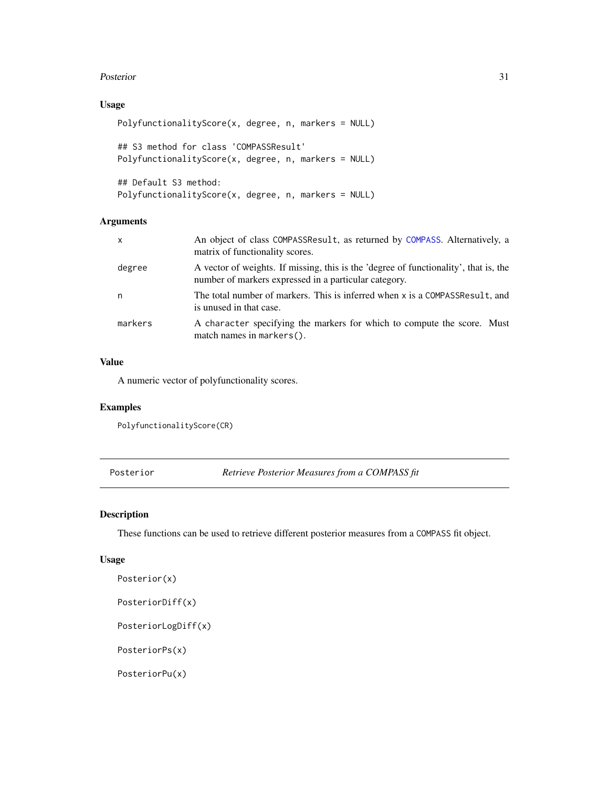#### <span id="page-30-0"></span>Posterior 31

## Usage

```
PolyfunctionalityScore(x, degree, n, markers = NULL)
## S3 method for class 'COMPASSResult'
PolyfunctionalityScore(x, degree, n, markers = NULL)
```

```
## Default S3 method:
PolyfunctionalityScore(x, degree, n, markers = NULL)
```
## Arguments

| $\mathsf{x}$ | An object of class COMPASSResult, as returned by COMPASS. Alternatively, a<br>matrix of functionality scores.                                 |
|--------------|-----------------------------------------------------------------------------------------------------------------------------------------------|
| degree       | A vector of weights. If missing, this is the 'degree of functionality', that is, the<br>number of markers expressed in a particular category. |
| n            | The total number of markers. This is inferred when x is a COMPASSResult, and<br>is unused in that case.                                       |
| markers      | A character specifying the markers for which to compute the score. Must<br>match names in markers().                                          |

## Value

A numeric vector of polyfunctionality scores.

## Examples

PolyfunctionalityScore(CR)

<span id="page-30-1"></span>Posterior *Retrieve Posterior Measures from a COMPASS fit*

## Description

These functions can be used to retrieve different posterior measures from a COMPASS fit object.

```
Posterior(x)
PosteriorDiff(x)
PosteriorLogDiff(x)
PosteriorPs(x)
PosteriorPu(x)
```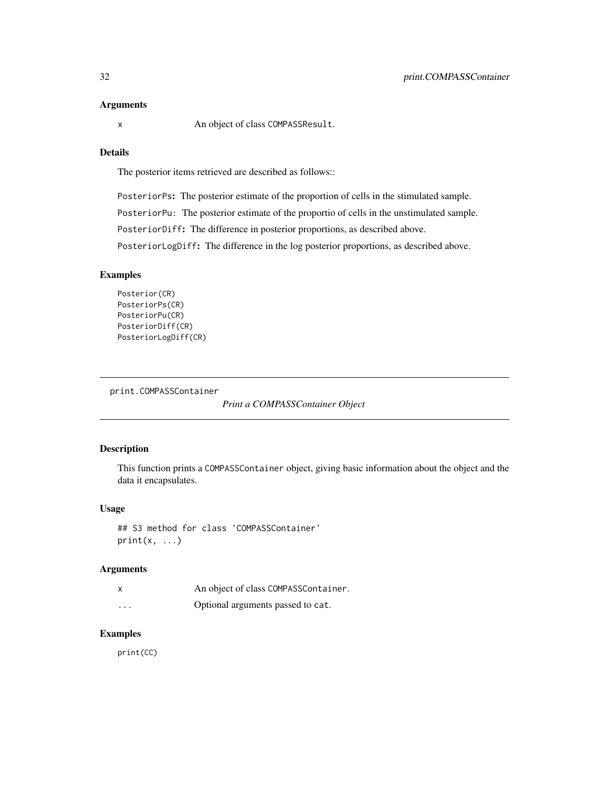<span id="page-31-0"></span>

x An object of class COMPASSResult.

## Details

The posterior items retrieved are described as follows::

PosteriorPs: The posterior estimate of the proportion of cells in the stimulated sample.

PosteriorPu: The posterior estimate of the proportio of cells in the unstimulated sample.

PosteriorDiff: The difference in posterior proportions, as described above.

PosteriorLogDiff: The difference in the log posterior proportions, as described above.

#### Examples

```
Posterior(CR)
PosteriorPs(CR)
PosteriorPu(CR)
PosteriorDiff(CR)
PosteriorLogDiff(CR)
```

```
print.COMPASSContainer
```
*Print a COMPASSContainer Object*

## Description

This function prints a COMPASSContainer object, giving basic information about the object and the data it encapsulates.

## Usage

```
## S3 method for class 'COMPASSContainer'
print(x, \ldots)
```
#### Arguments

|         | An object of class COMPASSContainer. |
|---------|--------------------------------------|
| $\cdot$ | Optional arguments passed to cat.    |

## Examples

print(CC)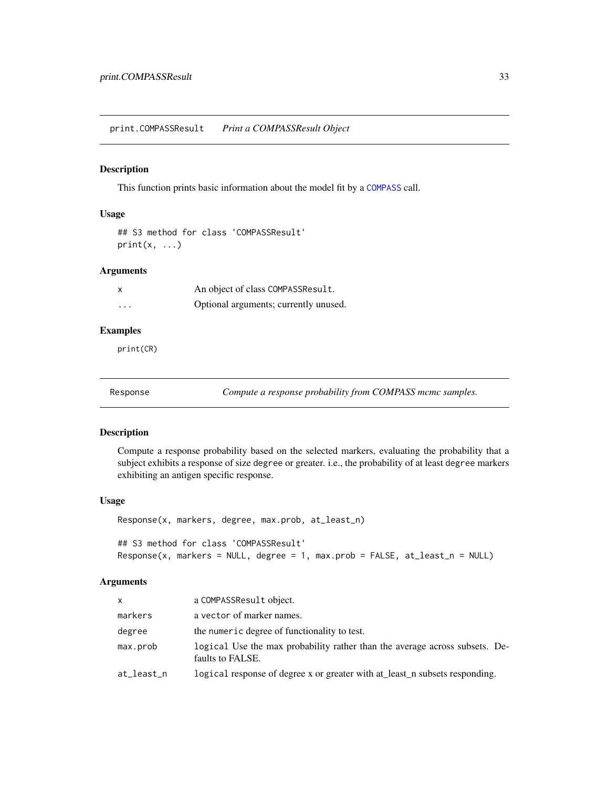<span id="page-32-0"></span>print.COMPASSResult *Print a COMPASSResult Object*

## Description

This function prints basic information about the model fit by a [COMPASS](#page-5-1) call.

## Usage

```
## S3 method for class 'COMPASSResult'
print(x, \ldots)
```
## Arguments

| $\boldsymbol{\mathsf{x}}$ | An object of class COMPASSResult.     |
|---------------------------|---------------------------------------|
| $\cdots$                  | Optional arguments; currently unused. |

#### Examples

print(CR)

Response *Compute a response probability from COMPASS mcmc samples.*

## Description

Compute a response probability based on the selected markers, evaluating the probability that a subject exhibits a response of size degree or greater. i.e., the probability of at least degree markers exhibiting an antigen specific response.

#### Usage

Response(x, markers, degree, max.prob, at\_least\_n)

## S3 method for class 'COMPASSResult' Response(x, markers = NULL, degree = 1, max.prob = FALSE, at\_least\_n = NULL)

#### Arguments

| <b>X</b>   | a COMPASSResult object.                                                                         |
|------------|-------------------------------------------------------------------------------------------------|
| markers    | a vector of marker names.                                                                       |
| degree     | the numeric degree of functionality to test.                                                    |
| max.prob   | logical Use the max probability rather than the average across subsets. De-<br>faults to FALSE. |
| at_least_n | logical response of degree x or greater with at_least_n subsets responding.                     |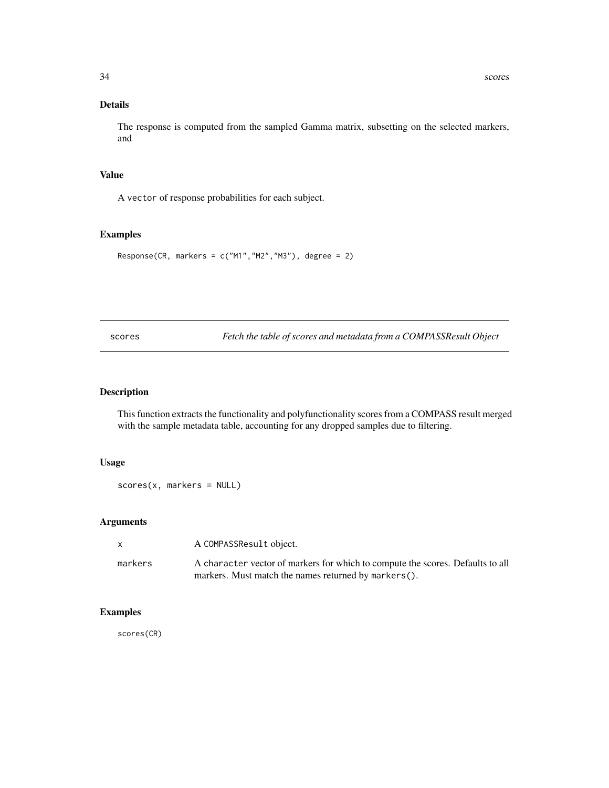## <span id="page-33-0"></span>Details

The response is computed from the sampled Gamma matrix, subsetting on the selected markers, and

## Value

A vector of response probabilities for each subject.

#### Examples

```
Response(CR, markers = c("M1", "M2", "M3"), degree = 2)
```
scores *Fetch the table of scores and metadata from a COMPASSResult Object*

## Description

This function extracts the functionality and polyfunctionality scores from a COMPASS result merged with the sample metadata table, accounting for any dropped samples due to filtering.

#### Usage

scores(x, markers = NULL)

## Arguments

| X       | A COMPASSResult object.                                                        |
|---------|--------------------------------------------------------------------------------|
| markers | A character vector of markers for which to compute the scores. Defaults to all |
|         | markers. Must match the names returned by markers().                           |

## Examples

scores(CR)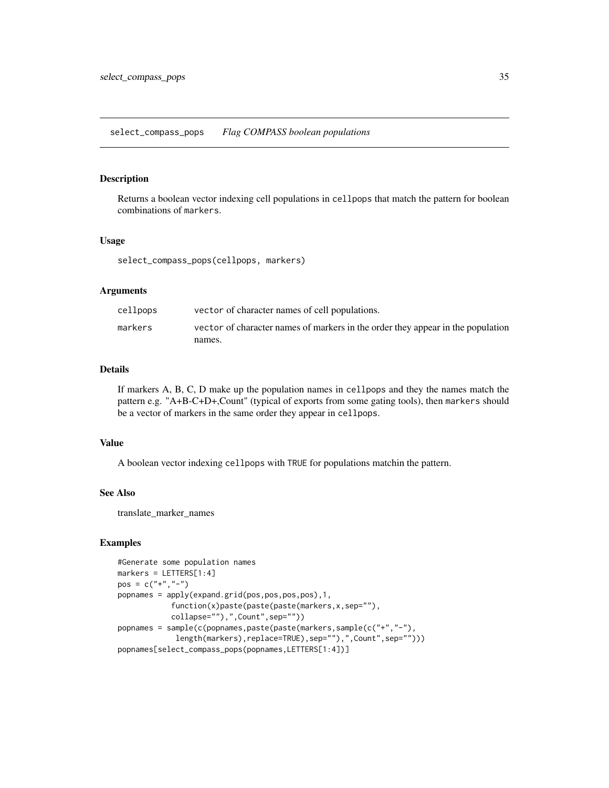#### <span id="page-34-0"></span>Description

Returns a boolean vector indexing cell populations in cellpops that match the pattern for boolean combinations of markers.

## Usage

select\_compass\_pops(cellpops, markers)

#### Arguments

| cellpops | vector of character names of cell populations.                                  |
|----------|---------------------------------------------------------------------------------|
| markers  | vector of character names of markers in the order they appear in the population |
|          | names.                                                                          |

## Details

If markers A, B, C, D make up the population names in cellpops and they the names match the pattern e.g. "A+B-C+D+,Count" (typical of exports from some gating tools), then markers should be a vector of markers in the same order they appear in cellpops.

## Value

A boolean vector indexing cellpops with TRUE for populations matchin the pattern.

## See Also

translate\_marker\_names

## **Examples**

```
#Generate some population names
markers = LETTERS[1:4]
pos = c("+", "-")popnames = apply(expand.grid(pos,pos,pos,pos),1,
            function(x)paste(paste(paste(markers,x,sep=""),
            collapse=""),",Count",sep=""))
popnames = sample(c(popnames,paste(paste(markers,sample(c("+","-"),
             length(markers),replace=TRUE),sep=""),",Count",sep="")))
popnames[select_compass_pops(popnames,LETTERS[1:4])]
```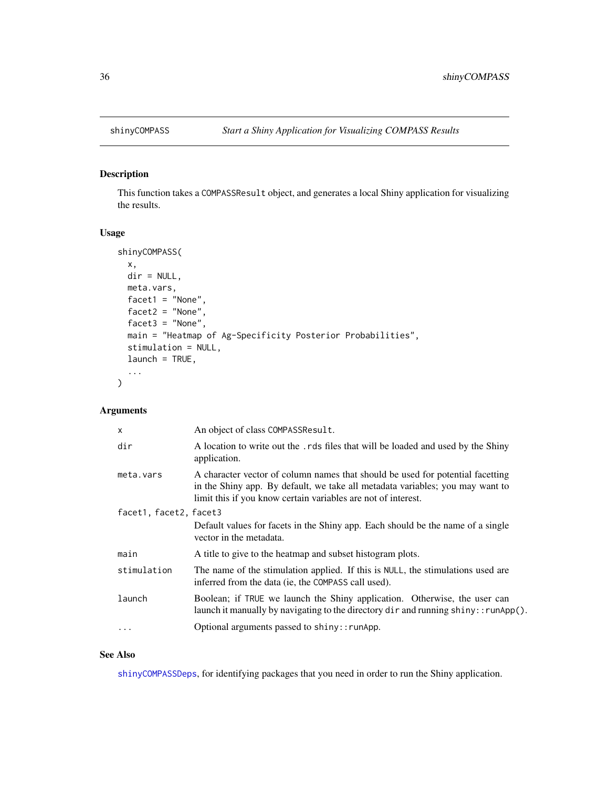<span id="page-35-0"></span>

## Description

This function takes a COMPASSResult object, and generates a local Shiny application for visualizing the results.

## Usage

```
shinyCOMPASS(
 x,
 dir = NULL,
 meta.vars,
 facet1 = "None",facet2 = "None",
 facet3 = "None",main = "Heatmap of Ag-Specificity Posterior Probabilities",
 stimulation = NULL,
 launch = TRUE,
  ...
\mathcal{L}
```
## Arguments

| $\times$               | An object of class COMPASSResult.                                                                                                                                                                                                |  |
|------------------------|----------------------------------------------------------------------------------------------------------------------------------------------------------------------------------------------------------------------------------|--|
| dir                    | A location to write out the . rds files that will be loaded and used by the Shiny<br>application.                                                                                                                                |  |
| meta.vars              | A character vector of column names that should be used for potential facetting<br>in the Shiny app. By default, we take all metadata variables; you may want to<br>limit this if you know certain variables are not of interest. |  |
| facet1, facet2, facet3 |                                                                                                                                                                                                                                  |  |
|                        | Default values for facets in the Shiny app. Each should be the name of a single<br>vector in the metadata.                                                                                                                       |  |
| main                   | A title to give to the heatmap and subset histogram plots.                                                                                                                                                                       |  |
| stimulation            | The name of the stimulation applied. If this is NULL, the stimulations used are<br>inferred from the data (ie, the COMPASS call used).                                                                                           |  |
| launch                 | Boolean; if TRUE we launch the Shiny application. Otherwise, the user can<br>launch it manually by navigating to the directory $\text{dir}$ and running $\text{ship}$ : runApp $()$ .                                            |  |
| .                      | Optional arguments passed to shiny:: runApp.                                                                                                                                                                                     |  |

## See Also

[shinyCOMPASSDeps](#page-36-1), for identifying packages that you need in order to run the Shiny application.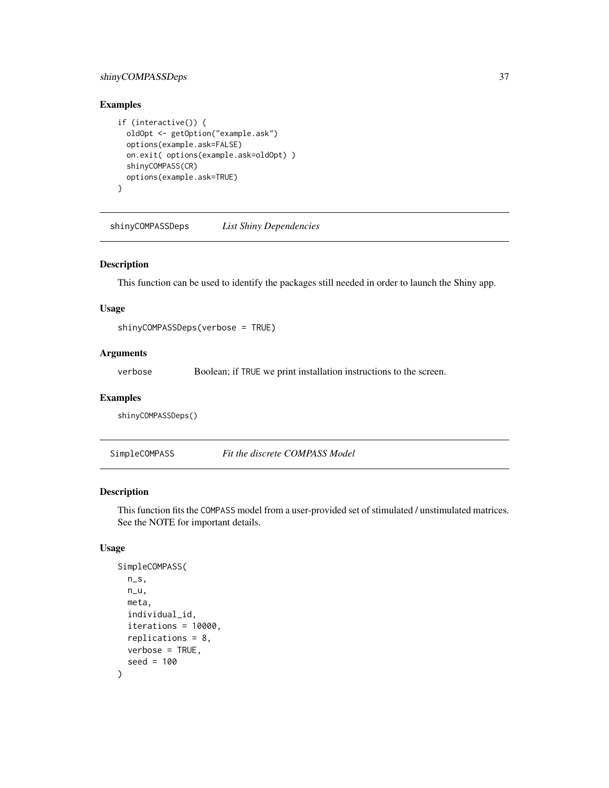## <span id="page-36-0"></span>shinyCOMPASSDeps 37

## Examples

```
if (interactive()) {
 oldOpt <- getOption("example.ask")
 options(example.ask=FALSE)
 on.exit( options(example.ask=oldOpt) )
 shinyCOMPASS(CR)
 options(example.ask=TRUE)
}
```
<span id="page-36-1"></span>shinyCOMPASSDeps *List Shiny Dependencies*

#### Description

This function can be used to identify the packages still needed in order to launch the Shiny app.

#### Usage

shinyCOMPASSDeps(verbose = TRUE)

## Arguments

verbose Boolean; if TRUE we print installation instructions to the screen.

#### Examples

shinyCOMPASSDeps()

SimpleCOMPASS *Fit the discrete COMPASS Model*

## Description

This function fits the COMPASS model from a user-provided set of stimulated / unstimulated matrices. See the NOTE for important details.

```
SimpleCOMPASS(
 n_S,
 n_u,
 meta,
  individual_id,
  iterations = 10000,
  replications = 8,
 verbose = TRUE,
  seed = 100
)
```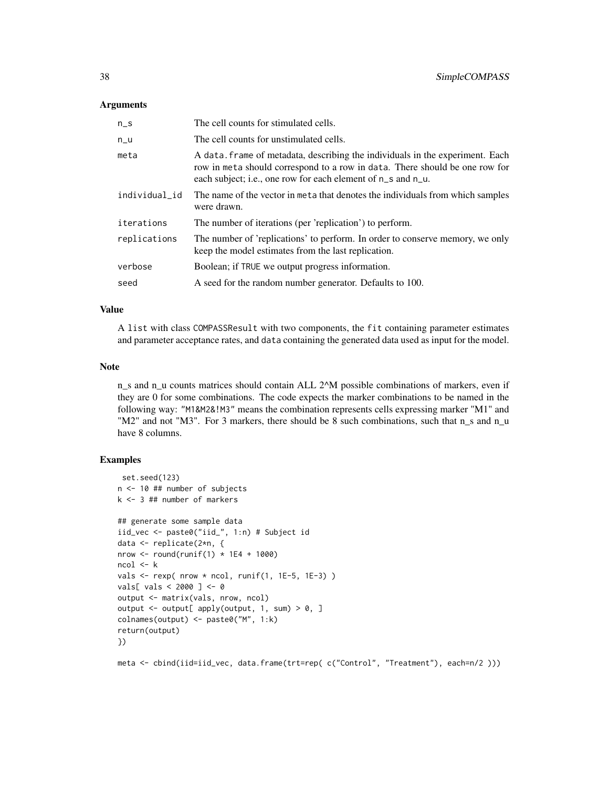| $n_S$         | The cell counts for stimulated cells.                                                                                                                                                                                        |
|---------------|------------------------------------------------------------------------------------------------------------------------------------------------------------------------------------------------------------------------------|
| $n_{-}u$      | The cell counts for unstimulated cells.                                                                                                                                                                                      |
| meta          | A data. frame of metadata, describing the individuals in the experiment. Each<br>row in meta should correspond to a row in data. There should be one row for<br>each subject; i.e., one row for each element of n_s and n_u. |
| individual_id | The name of the vector in meta that denotes the individuals from which samples<br>were drawn.                                                                                                                                |
| iterations    | The number of iterations (per 'replication') to perform.                                                                                                                                                                     |
| replications  | The number of 'replications' to perform. In order to conserve memory, we only<br>keep the model estimates from the last replication.                                                                                         |
| verbose       | Boolean; if TRUE we output progress information.                                                                                                                                                                             |
| seed          | A seed for the random number generator. Defaults to 100.                                                                                                                                                                     |

#### Value

A list with class COMPASSResult with two components, the fit containing parameter estimates and parameter acceptance rates, and data containing the generated data used as input for the model.

#### Note

n\_s and n\_u counts matrices should contain ALL 2^M possible combinations of markers, even if they are 0 for some combinations. The code expects the marker combinations to be named in the following way: "M1&M2&!M3" means the combination represents cells expressing marker "M1" and "M2" and not "M3". For 3 markers, there should be 8 such combinations, such that n\_s and n\_u have 8 columns.

## Examples

```
set.seed(123)
n <- 10 ## number of subjects
k <- 3 ## number of markers
## generate some sample data
iid_vec <- paste0("iid_", 1:n) # Subject id
data <- replicate(2*n, {
nrow \le round(runif(1) \star 1E4 + 1000)
ncol < -kvals \le rexp( nrow * ncol, runif(1, 1E-5, 1E-3))
vals[ vals < 2000 ] <- 0
output <- matrix(vals, nrow, ncol)
output \leq output[ apply(output, 1, sum) > 0, ]
colnames(output) <- paste0("M", 1:k)
return(output)
})
```
meta <- cbind(iid=iid\_vec, data.frame(trt=rep( c("Control", "Treatment"), each=n/2 )))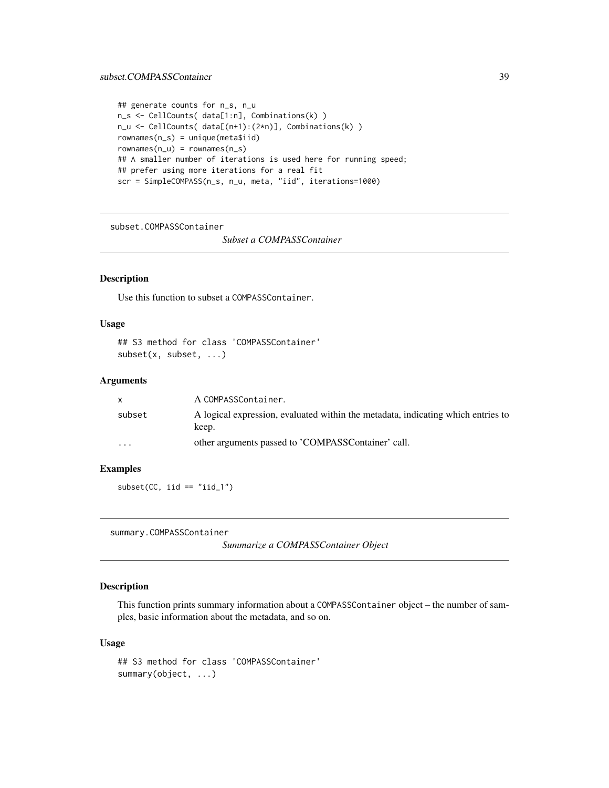#### <span id="page-38-0"></span>subset.COMPASSContainer 39

```
## generate counts for n_s, n_u
n_s <- CellCounts( data[1:n], Combinations(k) )
n_u <- CellCounts( data[(n+1):(2*n)], Combinations(k) )
rownames(n_s) = unique(meta$iid)rownames(n_u) = rownames(n_s)## A smaller number of iterations is used here for running speed;
## prefer using more iterations for a real fit
scr = SimpleCOMPASS(n_s, n_u, meta, "iid", iterations=1000)
```
subset.COMPASSContainer

*Subset a COMPASSContainer*

## Description

Use this function to subset a COMPASSContainer.

## Usage

## S3 method for class 'COMPASSContainer' subset(x, subset, ...)

#### Arguments

|                         | A COMPASSContainer.                                                                       |
|-------------------------|-------------------------------------------------------------------------------------------|
| subset                  | A logical expression, evaluated within the metadata, indicating which entries to<br>keep. |
| $\cdot$ $\cdot$ $\cdot$ | other arguments passed to 'COMPASSContainer' call.                                        |

#### Examples

 $subset(CC, iid == "iid_1")$ 

summary.COMPASSContainer

*Summarize a COMPASSContainer Object*

## Description

This function prints summary information about a COMPASSContainer object – the number of samples, basic information about the metadata, and so on.

```
## S3 method for class 'COMPASSContainer'
summary(object, ...)
```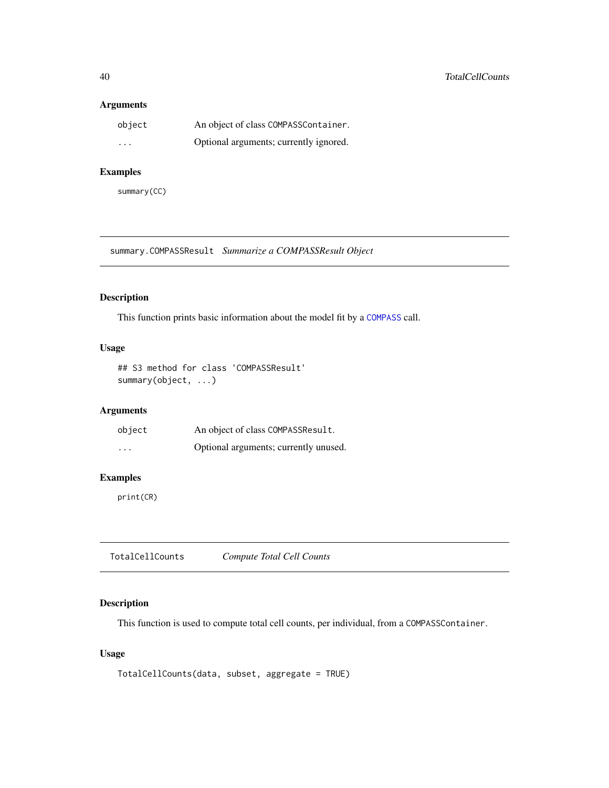<span id="page-39-0"></span>

| object   | An object of class COMPASSContainer.   |
|----------|----------------------------------------|
| $\cdots$ | Optional arguments; currently ignored. |

## Examples

summary(CC)

summary.COMPASSResult *Summarize a COMPASSResult Object*

## Description

This function prints basic information about the model fit by a [COMPASS](#page-5-1) call.

## Usage

```
## S3 method for class 'COMPASSResult'
summary(object, ...)
```
## Arguments

| object   | An object of class COMPASSResult.     |
|----------|---------------------------------------|
| $\cdots$ | Optional arguments; currently unused. |

## Examples

print(CR)

TotalCellCounts *Compute Total Cell Counts*

## Description

This function is used to compute total cell counts, per individual, from a COMPASSContainer.

## Usage

TotalCellCounts(data, subset, aggregate = TRUE)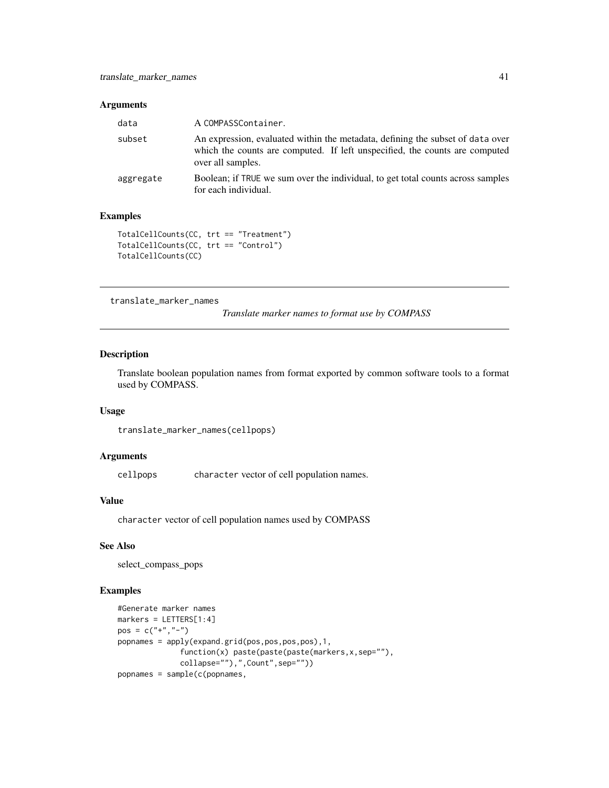<span id="page-40-0"></span>

| data      | A COMPASSContainer.                                                                                                                                                                |
|-----------|------------------------------------------------------------------------------------------------------------------------------------------------------------------------------------|
| subset    | An expression, evaluated within the metadata, defining the subset of data over<br>which the counts are computed. If left unspecified, the counts are computed<br>over all samples. |
| aggregate | Boolean; if TRUE we sum over the individual, to get total counts across samples<br>for each individual.                                                                            |

## Examples

```
TotalCellCounts(CC, trt == "Treatment")
TotalCellCounts(CC, trt == "Control")
TotalCellCounts(CC)
```
translate\_marker\_names

*Translate marker names to format use by COMPASS*

#### Description

Translate boolean population names from format exported by common software tools to a format used by COMPASS.

### Usage

```
translate_marker_names(cellpops)
```
#### Arguments

cellpops character vector of cell population names.

#### Value

character vector of cell population names used by COMPASS

#### See Also

select\_compass\_pops

## Examples

```
#Generate marker names
markers = LETTERS[1:4]
pos = c("+", "-")popnames = apply(expand.grid(pos,pos,pos,pos),1,
              function(x) paste(paste(paste(markers,x,sep=""),
              collapse=""),",Count",sep=""))
popnames = sample(c(popnames,
```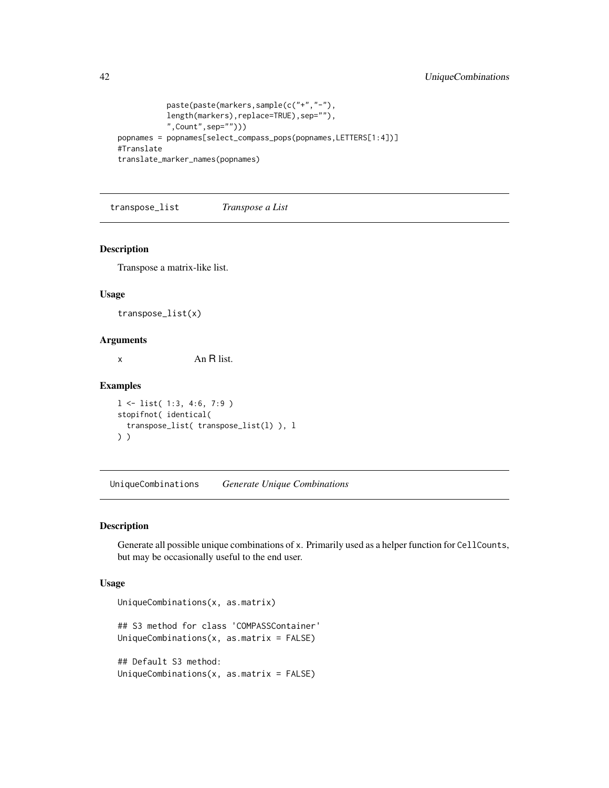```
paste(paste(markers,sample(c("+","-"),
           length(markers),replace=TRUE),sep=""),
           ",Count",sep="")))
popnames = popnames[select_compass_pops(popnames,LETTERS[1:4])]
#Translate
translate_marker_names(popnames)
```
transpose\_list *Transpose a List*

#### Description

Transpose a matrix-like list.

#### Usage

transpose\_list(x)

## Arguments

x An R list.

#### Examples

l <- list( 1:3, 4:6, 7:9 ) stopifnot( identical( transpose\_list( transpose\_list(l) ), l ) )

UniqueCombinations *Generate Unique Combinations*

## Description

Generate all possible unique combinations of x. Primarily used as a helper function for CellCounts, but may be occasionally useful to the end user.

```
UniqueCombinations(x, as.matrix)
## S3 method for class 'COMPASSContainer'
UniqueCombinations(x, as.matrix = FALSE)
## Default S3 method:
UniqueCombinations(x, as.matrix = FALSE)
```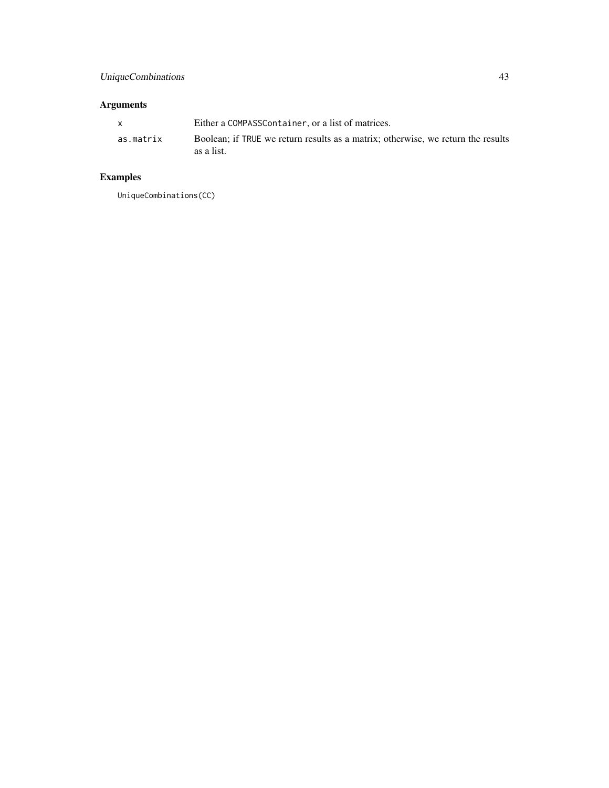| $\mathbf{x}$ | Either a COMPASSContainer, or a list of matrices.                                              |
|--------------|------------------------------------------------------------------------------------------------|
| as.matrix    | Boolean; if TRUE we return results as a matrix; otherwise, we return the results<br>as a list. |

## Examples

UniqueCombinations(CC)